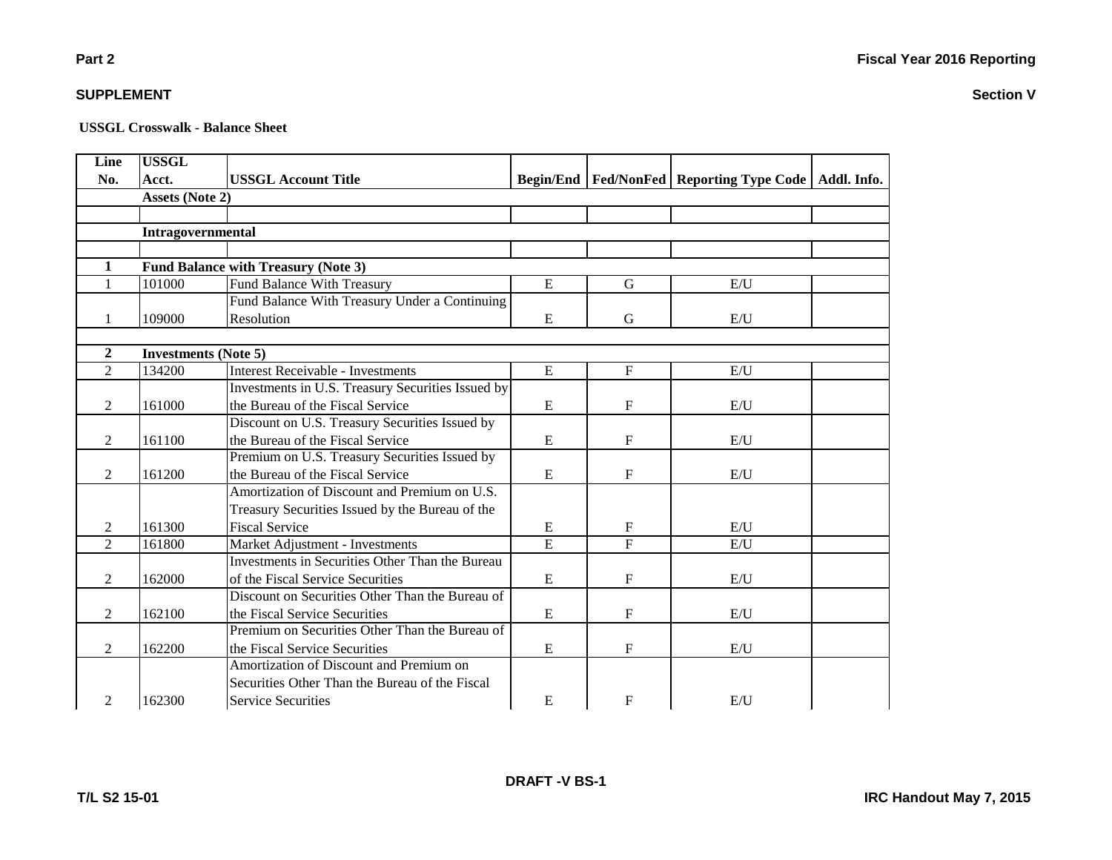**Section V**

# **Part 2**

### **SUPPLEMENT**

| Line           | <b>USSGL</b>                |                                                   |                |              |                                                            |  |
|----------------|-----------------------------|---------------------------------------------------|----------------|--------------|------------------------------------------------------------|--|
| No.            | Acct.                       | <b>USSGL Account Title</b>                        |                |              | Begin/End   Fed/NonFed   Reporting Type Code   Addl. Info. |  |
|                | <b>Assets (Note 2)</b>      |                                                   |                |              |                                                            |  |
|                |                             |                                                   |                |              |                                                            |  |
|                | Intragovernmental           |                                                   |                |              |                                                            |  |
|                |                             |                                                   |                |              |                                                            |  |
| 1              |                             | <b>Fund Balance with Treasury (Note 3)</b>        |                |              |                                                            |  |
| $\mathbf{1}$   | 101000                      | Fund Balance With Treasury                        | E              | G            | E/I                                                        |  |
|                |                             | Fund Balance With Treasury Under a Continuing     |                |              |                                                            |  |
|                | 109000                      | Resolution                                        | E              | G            | E/U                                                        |  |
|                |                             |                                                   |                |              |                                                            |  |
| $\overline{2}$ | <b>Investments (Note 5)</b> |                                                   |                |              |                                                            |  |
| $\overline{2}$ | 134200                      | Interest Receivable - Investments                 | E              | $\mathbf F$  | E/U                                                        |  |
|                |                             | Investments in U.S. Treasury Securities Issued by |                |              |                                                            |  |
| $\mathbf{2}$   | 161000                      | the Bureau of the Fiscal Service                  | E              | $\mathbf F$  | E/U                                                        |  |
|                |                             | Discount on U.S. Treasury Securities Issued by    |                |              |                                                            |  |
| 2              | 161100                      | the Bureau of the Fiscal Service                  | ${\bf E}$      | $\mathbf F$  | E/U                                                        |  |
|                |                             | Premium on U.S. Treasury Securities Issued by     |                |              |                                                            |  |
| 2              | 161200                      | the Bureau of the Fiscal Service                  | E              | $\mathbf{F}$ | E/U                                                        |  |
|                |                             | Amortization of Discount and Premium on U.S.      |                |              |                                                            |  |
|                |                             | Treasury Securities Issued by the Bureau of the   |                |              |                                                            |  |
| 2              | 161300                      | <b>Fiscal Service</b>                             | E              | F            | E/U                                                        |  |
| $\mathfrak{D}$ | 161800                      | Market Adjustment - Investments                   | $\overline{E}$ | $\mathbf{F}$ | E/U                                                        |  |
|                |                             | Investments in Securities Other Than the Bureau   |                |              |                                                            |  |
| 2              | 162000                      | of the Fiscal Service Securities                  | E              | F            | E/U                                                        |  |
|                |                             | Discount on Securities Other Than the Bureau of   |                |              |                                                            |  |
| 2              | 162100                      | the Fiscal Service Securities                     | E              | F            | E/U                                                        |  |
|                |                             | Premium on Securities Other Than the Bureau of    |                |              |                                                            |  |
| $\overline{2}$ | 162200                      | the Fiscal Service Securities                     | ${\bf E}$      | $\mathbf F$  | E/U                                                        |  |
|                |                             | Amortization of Discount and Premium on           |                |              |                                                            |  |
|                |                             | Securities Other Than the Bureau of the Fiscal    |                |              |                                                            |  |
| 2              | 162300                      | Service Securities                                | E              | $\mathbf{F}$ | E/U                                                        |  |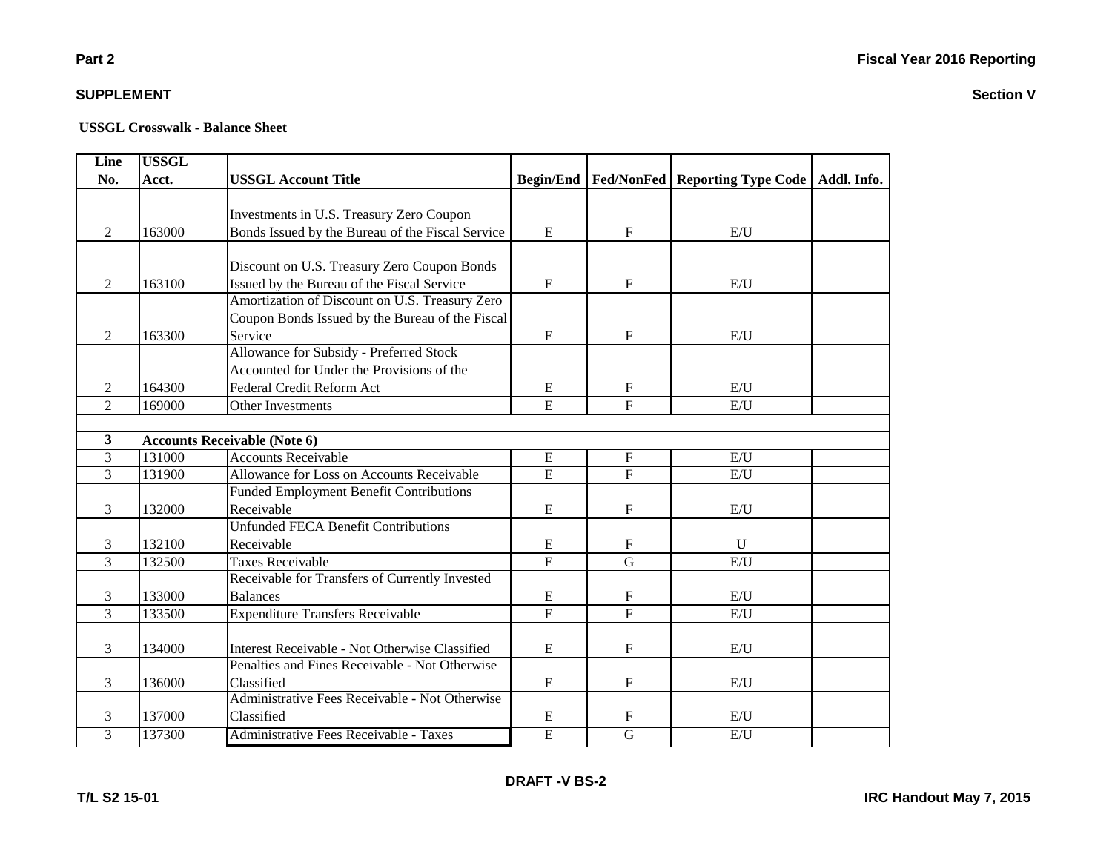### **Part 2**

### **SUPPLEMENT**

| Line           | <b>USSGL</b> |                                                  |                |                           |                                                            |  |
|----------------|--------------|--------------------------------------------------|----------------|---------------------------|------------------------------------------------------------|--|
| No.            | Acct.        | <b>USSGL Account Title</b>                       |                |                           | Begin/End   Fed/NonFed   Reporting Type Code   Addl. Info. |  |
|                |              |                                                  |                |                           |                                                            |  |
|                |              | Investments in U.S. Treasury Zero Coupon         |                |                           |                                                            |  |
| 2              | 163000       | Bonds Issued by the Bureau of the Fiscal Service | ${\bf E}$      | $\boldsymbol{\mathrm{F}}$ | E/U                                                        |  |
|                |              |                                                  |                |                           |                                                            |  |
|                |              | Discount on U.S. Treasury Zero Coupon Bonds      |                |                           |                                                            |  |
| 2              | 163100       | Issued by the Bureau of the Fiscal Service       | ${\bf E}$      | $\mathbf F$               | E/U                                                        |  |
|                |              | Amortization of Discount on U.S. Treasury Zero   |                |                           |                                                            |  |
|                |              | Coupon Bonds Issued by the Bureau of the Fiscal  |                |                           |                                                            |  |
| 2              | 163300       | Service                                          | E              | $\mathbf F$               | E/U                                                        |  |
|                |              | Allowance for Subsidy - Preferred Stock          |                |                           |                                                            |  |
|                |              | Accounted for Under the Provisions of the        |                |                           |                                                            |  |
| 2              | 164300       | Federal Credit Reform Act                        | ${\bf E}$      | $\boldsymbol{\mathrm{F}}$ | E/U                                                        |  |
| $\overline{2}$ | 169000       | Other Investments                                | $\overline{E}$ | $\mathbf{F}$              | E/U                                                        |  |
|                |              |                                                  |                |                           |                                                            |  |
| 3              |              | <b>Accounts Receivable (Note 6)</b>              |                |                           |                                                            |  |
| $\overline{3}$ | 131000       | <b>Accounts Receivable</b>                       | ${\bf E}$      | $\rm F$                   | $\mathbf{E}/\mathbf{U}$                                    |  |
| $\overline{3}$ | 131900       | Allowance for Loss on Accounts Receivable        | $\overline{E}$ | $\overline{F}$            | E/U                                                        |  |
|                |              | <b>Funded Employment Benefit Contributions</b>   |                |                           |                                                            |  |
| 3              | 132000       | Receivable                                       | E              | $\boldsymbol{\mathrm{F}}$ | E/U                                                        |  |
|                |              | <b>Unfunded FECA Benefit Contributions</b>       |                |                           |                                                            |  |
| 3              | 132100       | Receivable                                       | E              | $\mathbf{F}$              | $\mathbf{U}$                                               |  |
| $\overline{3}$ | 132500       | <b>Taxes Receivable</b>                          | $\overline{E}$ | $\overline{G}$            | E/U                                                        |  |
|                |              | Receivable for Transfers of Currently Invested   |                |                           |                                                            |  |
| 3              | 133000       | <b>Balances</b>                                  | ${\bf E}$      | $\boldsymbol{\mathrm{F}}$ | E/U                                                        |  |
| $\overline{3}$ | 133500       | <b>Expenditure Transfers Receivable</b>          | $\overline{E}$ | $\overline{F}$            | E/U                                                        |  |
|                |              |                                                  |                |                           |                                                            |  |
| 3              | 134000       | Interest Receivable - Not Otherwise Classified   | E              | $\mathbf F$               | E/U                                                        |  |
|                |              | Penalties and Fines Receivable - Not Otherwise   |                |                           |                                                            |  |
| 3              | 136000       | Classified                                       | E              | $\mathbf F$               | E/U                                                        |  |
|                |              | Administrative Fees Receivable - Not Otherwise   |                |                           |                                                            |  |
| 3              | 137000       | Classified                                       | E              | $\mathbf{F}$              | E/U                                                        |  |
| 3              | 137300       | Administrative Fees Receivable - Taxes           | E              | $\overline{G}$            | E/U                                                        |  |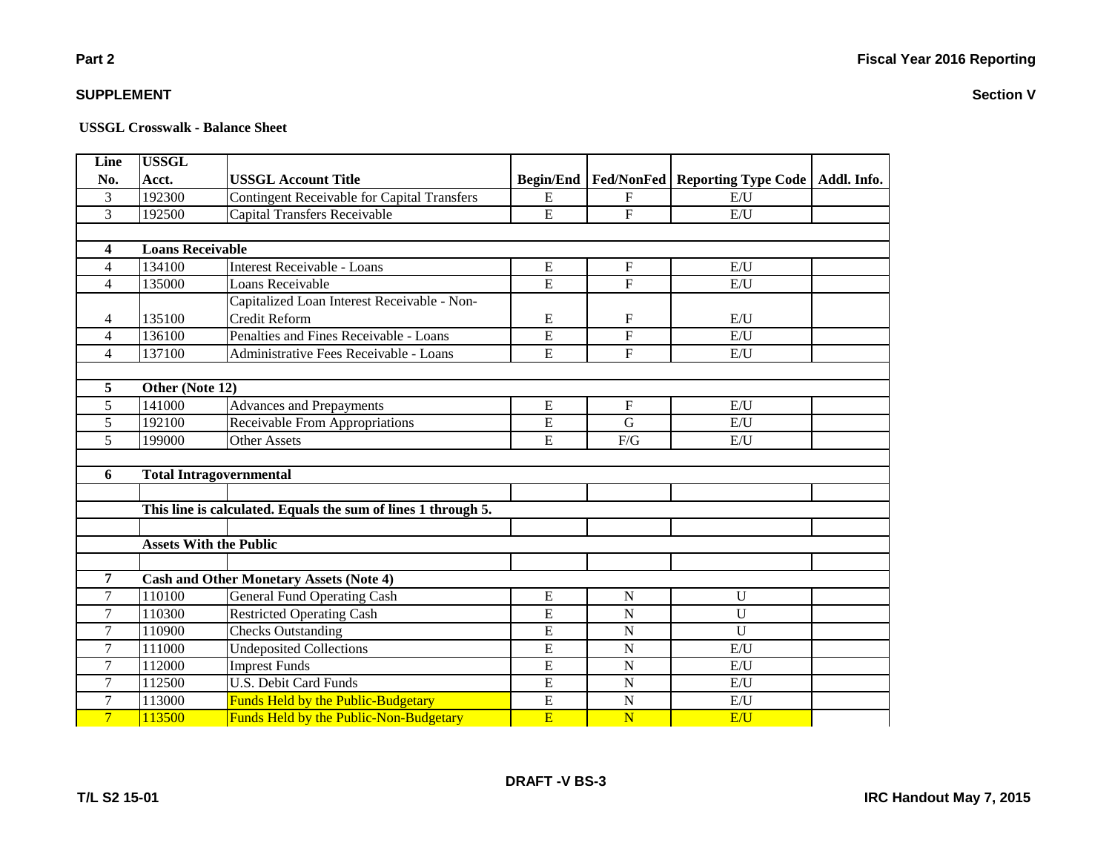**Part 2**

### **SUPPLEMENT**

| Line           | <b>USSGL</b>                  |                                                               |                  |                           |                                         |             |
|----------------|-------------------------------|---------------------------------------------------------------|------------------|---------------------------|-----------------------------------------|-------------|
| No.            | Acct.                         | <b>USSGL Account Title</b>                                    | <b>Begin/End</b> |                           | <b>Fed/NonFed   Reporting Type Code</b> | Addl. Info. |
| 3              | 192300                        | <b>Contingent Receivable for Capital Transfers</b>            | E                | $\mathbf F$               | E/U                                     |             |
| $\overline{3}$ | 192500                        | Capital Transfers Receivable                                  | E                | $\mathbf{F}$              | E/U                                     |             |
|                |                               |                                                               |                  |                           |                                         |             |
| 4              | <b>Loans Receivable</b>       |                                                               |                  |                           |                                         |             |
| $\overline{4}$ | 134100                        | Interest Receivable - Loans                                   | E                | $\boldsymbol{\mathrm{F}}$ | E/U                                     |             |
| $\overline{4}$ | 135000                        | Loans Receivable                                              | $\overline{E}$   | $\overline{F}$            | E/U                                     |             |
|                |                               | Capitalized Loan Interest Receivable - Non-                   |                  |                           |                                         |             |
| 4              | 135100                        | Credit Reform                                                 | E                | $\boldsymbol{F}$          | E/U                                     |             |
| 4              | 136100                        | Penalties and Fines Receivable - Loans                        | E                | $\overline{\mathrm{F}}$   | E/U                                     |             |
| $\overline{4}$ | 137100                        | Administrative Fees Receivable - Loans                        | E                | $\mathbf F$               | E/U                                     |             |
|                |                               |                                                               |                  |                           |                                         |             |
| 5              | Other (Note 12)               |                                                               |                  |                           |                                         |             |
| 5              | 141000                        | <b>Advances and Prepayments</b>                               | E                | $\mathbf{F}$              | E/U                                     |             |
| 5              | 192100                        | Receivable From Appropriations                                | E                | $\mathbf G$               | E/U                                     |             |
| 5              | 199000                        | <b>Other Assets</b>                                           | E                | $\rm F/G$                 | E/U                                     |             |
|                |                               |                                                               |                  |                           |                                         |             |
| 6              |                               | <b>Total Intragovernmental</b>                                |                  |                           |                                         |             |
|                |                               |                                                               |                  |                           |                                         |             |
|                |                               | This line is calculated. Equals the sum of lines 1 through 5. |                  |                           |                                         |             |
|                |                               |                                                               |                  |                           |                                         |             |
|                | <b>Assets With the Public</b> |                                                               |                  |                           |                                         |             |
|                |                               |                                                               |                  |                           |                                         |             |
| $\overline{7}$ |                               | <b>Cash and Other Monetary Assets (Note 4)</b>                |                  |                           |                                         |             |
| $\overline{7}$ | 110100                        | <b>General Fund Operating Cash</b>                            | E                | $\mathbf N$               | U                                       |             |
| $\overline{7}$ | 110300                        | <b>Restricted Operating Cash</b>                              | E                | $\mathbf N$               | $\mathbf U$                             |             |
| 7              | 110900                        | <b>Checks Outstanding</b>                                     | E                | $\mathbf N$               | $\mathbf U$                             |             |
| $\tau$         | 111000                        | <b>Undeposited Collections</b>                                | E                | $\mathbf N$               | E/U                                     |             |
| 7              | 112000                        | <b>Imprest Funds</b>                                          | $\overline{E}$   | $\mathbf N$               | E/U                                     |             |
| $\tau$         | 112500                        | <b>U.S. Debit Card Funds</b>                                  | E                | $\mathbf N$               | E/U                                     |             |
| 7              | 113000                        | <b>Funds Held by the Public-Budgetary</b>                     | $\overline{E}$   | ${\bf N}$                 | E/U                                     |             |
| $\overline{7}$ | 113500                        | <b>Funds Held by the Public-Non-Budgetary</b>                 | E                | N                         | E/U                                     |             |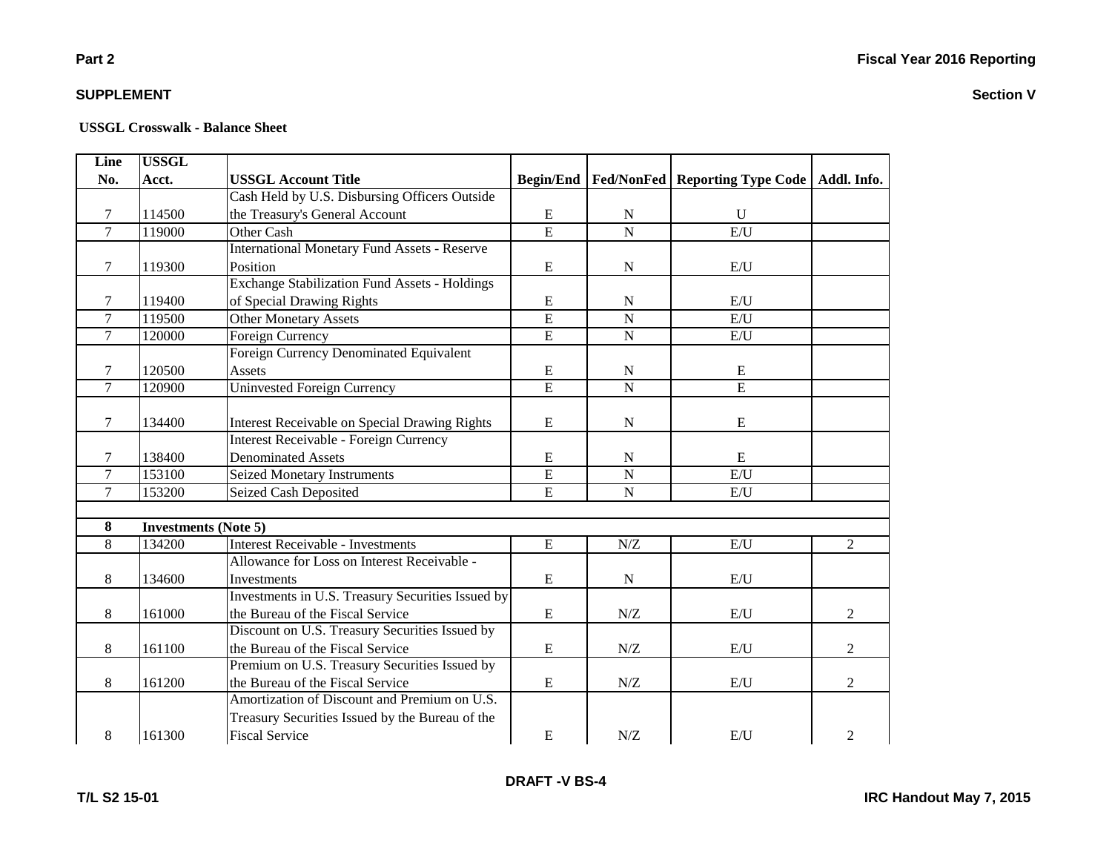**Section V**

### **Part 2**

### **SUPPLEMENT**

| Line           | <b>USSGL</b>                |                                                      |                  |                     |                                                |                |
|----------------|-----------------------------|------------------------------------------------------|------------------|---------------------|------------------------------------------------|----------------|
| No.            | Acct.                       | <b>USSGL Account Title</b>                           | <b>Begin/End</b> |                     | Fed/NonFed   Reporting Type Code   Addl. Info. |                |
|                |                             | Cash Held by U.S. Disbursing Officers Outside        |                  |                     |                                                |                |
| 7              | 114500                      | the Treasury's General Account                       | E                | N                   | $\mathbf{U}$                                   |                |
| $\overline{7}$ | 119000                      | Other Cash                                           | $\overline{E}$   | $\overline{N}$      | E/U                                            |                |
|                |                             | <b>International Monetary Fund Assets - Reserve</b>  |                  |                     |                                                |                |
| 7              | 119300                      | Position                                             | E                | N                   | E/U                                            |                |
|                |                             | <b>Exchange Stabilization Fund Assets - Holdings</b> |                  |                     |                                                |                |
| $\tau$         | 119400                      | of Special Drawing Rights                            | E                | $\mathbf N$         | E/U                                            |                |
| $\overline{7}$ | 119500                      | <b>Other Monetary Assets</b>                         | $\overline{E}$   | $\overline{N}$      | E/U                                            |                |
| $\tau$         | 120000                      | Foreign Currency                                     | $\overline{E}$   | $\mathbf N$         | E/U                                            |                |
|                |                             | <b>Foreign Currency Denominated Equivalent</b>       |                  |                     |                                                |                |
| 7              | 120500                      | Assets                                               | E                | N                   | E                                              |                |
| $\overline{7}$ | 120900                      | <b>Uninvested Foreign Currency</b>                   | $\overline{E}$   | $\mathbf N$         | $\overline{E}$                                 |                |
|                |                             |                                                      |                  |                     |                                                |                |
| $\tau$         | 134400                      | <b>Interest Receivable on Special Drawing Rights</b> | ${\bf E}$        | ${\bf N}$           | E                                              |                |
|                |                             | Interest Receivable - Foreign Currency               |                  |                     |                                                |                |
| 7              | 138400                      | <b>Denominated Assets</b>                            | ${\bf E}$        | ${\bf N}$           | E                                              |                |
| $\overline{7}$ | 153100                      | <b>Seized Monetary Instruments</b>                   | $\overline{E}$   | $\mathbf N$         | E/U                                            |                |
| $\overline{7}$ | 153200                      | Seized Cash Deposited                                | $\overline{E}$   | $\mathbf N$         | E/U                                            |                |
|                |                             |                                                      |                  |                     |                                                |                |
| 8              | <b>Investments (Note 5)</b> |                                                      |                  |                     |                                                |                |
| 8              | 134200                      | Interest Receivable - Investments                    | ${\bf E}$        | ${\rm N} / {\rm Z}$ | E/U                                            | $\overline{2}$ |
|                |                             | Allowance for Loss on Interest Receivable -          |                  |                     |                                                |                |
| 8              | 134600                      | Investments                                          | ${\bf E}$        | N                   | E/U                                            |                |
|                |                             | Investments in U.S. Treasury Securities Issued by    |                  |                     |                                                |                |
| 8              | 161000                      | the Bureau of the Fiscal Service                     | ${\bf E}$        | N/Z                 | E/U                                            | $\overline{2}$ |
|                |                             | Discount on U.S. Treasury Securities Issued by       |                  |                     |                                                |                |
| 8              | 161100                      | the Bureau of the Fiscal Service                     | E                | $N\!/\!Z$           | E/U                                            | $\overline{2}$ |
|                |                             | Premium on U.S. Treasury Securities Issued by        |                  |                     |                                                |                |
| 8              | 161200                      | the Bureau of the Fiscal Service                     | E                | N/Z                 | E/U                                            | $\overline{2}$ |
|                |                             | Amortization of Discount and Premium on U.S.         |                  |                     |                                                |                |
|                |                             | Treasury Securities Issued by the Bureau of the      |                  |                     |                                                |                |
| 8              | 161300                      | <b>Fiscal Service</b>                                | ${\bf E}$        | N/Z                 | E/U                                            | $\overline{2}$ |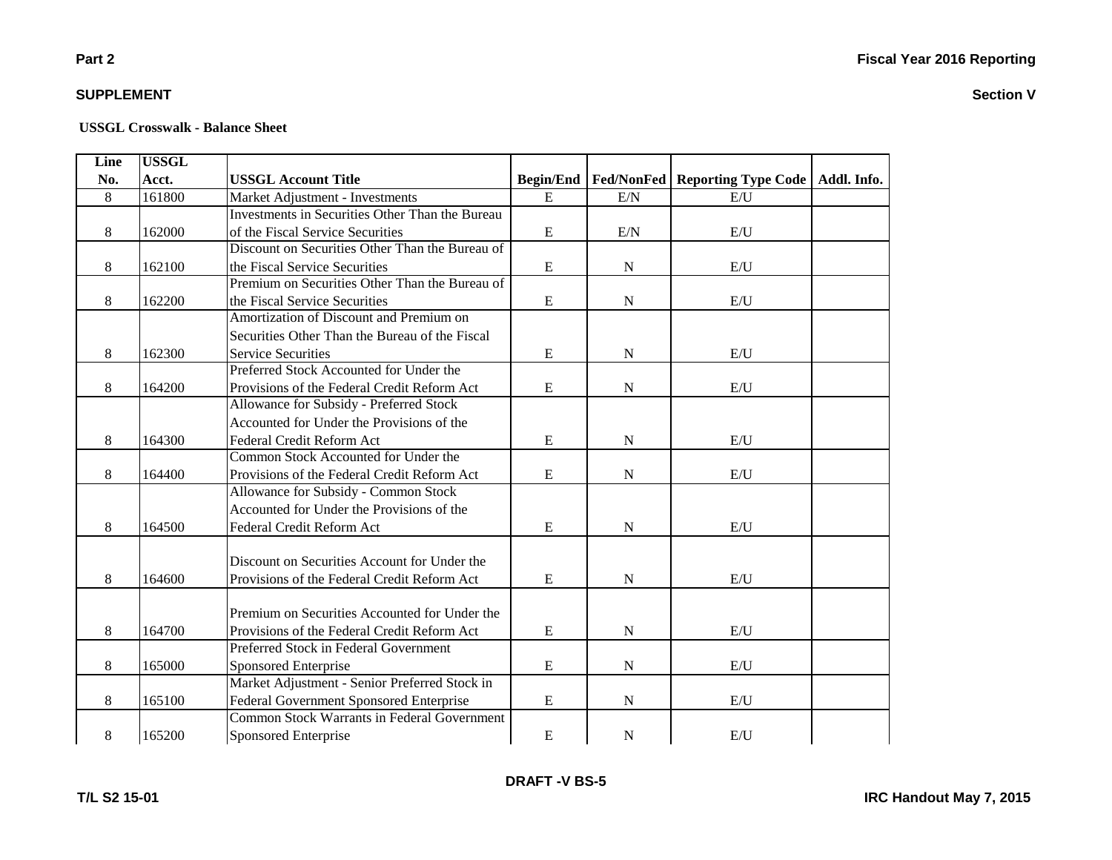# **Part 2**

### **SUPPLEMENT**

| <b>Line</b> | <b>USSGL</b> |                                                    |             |             |                                                       |             |
|-------------|--------------|----------------------------------------------------|-------------|-------------|-------------------------------------------------------|-------------|
| No.         | Acct.        | <b>USSGL Account Title</b>                         |             |             | <b>Begin/End   Fed/NonFed   Reporting Type Code  </b> | Addl. Info. |
| 8           | 161800       | Market Adjustment - Investments                    | ${\bf E}$   | E/N         | E/U                                                   |             |
|             |              | Investments in Securities Other Than the Bureau    |             |             |                                                       |             |
| 8           | 162000       | of the Fiscal Service Securities                   | $\mathbf E$ | E/N         | E/U                                                   |             |
|             |              | Discount on Securities Other Than the Bureau of    |             |             |                                                       |             |
| 8           | 162100       | the Fiscal Service Securities                      | E           | $\mathbf N$ | E/U                                                   |             |
|             |              | Premium on Securities Other Than the Bureau of     |             |             |                                                       |             |
| 8           | 162200       | the Fiscal Service Securities                      | ${\bf E}$   | ${\bf N}$   | E/U                                                   |             |
|             |              | Amortization of Discount and Premium on            |             |             |                                                       |             |
|             |              | Securities Other Than the Bureau of the Fiscal     |             |             |                                                       |             |
| 8           | 162300       | <b>Service Securities</b>                          | E           | ${\bf N}$   | E/U                                                   |             |
|             |              | Preferred Stock Accounted for Under the            |             |             |                                                       |             |
| 8           | 164200       | Provisions of the Federal Credit Reform Act        | ${\bf E}$   | ${\bf N}$   | E/U                                                   |             |
|             |              | Allowance for Subsidy - Preferred Stock            |             |             |                                                       |             |
|             |              | Accounted for Under the Provisions of the          |             |             |                                                       |             |
| 8           | 164300       | Federal Credit Reform Act                          | $\mathbf E$ | ${\bf N}$   | E/U                                                   |             |
|             |              | Common Stock Accounted for Under the               |             |             |                                                       |             |
| 8           | 164400       | Provisions of the Federal Credit Reform Act        | $\mathbf E$ | ${\bf N}$   | E/U                                                   |             |
|             |              | Allowance for Subsidy - Common Stock               |             |             |                                                       |             |
|             |              | Accounted for Under the Provisions of the          |             |             |                                                       |             |
| 8           | 164500       | Federal Credit Reform Act                          | ${\bf E}$   | ${\bf N}$   | E/U                                                   |             |
|             |              |                                                    |             |             |                                                       |             |
|             |              | Discount on Securities Account for Under the       |             |             |                                                       |             |
| 8           | 164600       | Provisions of the Federal Credit Reform Act        | ${\bf E}$   | ${\bf N}$   | E/U                                                   |             |
|             |              |                                                    |             |             |                                                       |             |
|             |              | Premium on Securities Accounted for Under the      |             |             |                                                       |             |
| 8           | 164700       | Provisions of the Federal Credit Reform Act        | $\mathbf E$ | $\mathbf N$ | E/I                                                   |             |
|             |              | Preferred Stock in Federal Government              |             |             |                                                       |             |
| 8           | 165000       | Sponsored Enterprise                               | E           | $\mathbf N$ | E/U                                                   |             |
|             |              | Market Adjustment - Senior Preferred Stock in      |             |             |                                                       |             |
| 8           | 165100       | Federal Government Sponsored Enterprise            | E           | N           | E/U                                                   |             |
|             |              | <b>Common Stock Warrants in Federal Government</b> |             |             |                                                       |             |
| 8           | 165200       | Sponsored Enterprise                               | $\mathbf E$ | $\mathbf N$ | E/U                                                   |             |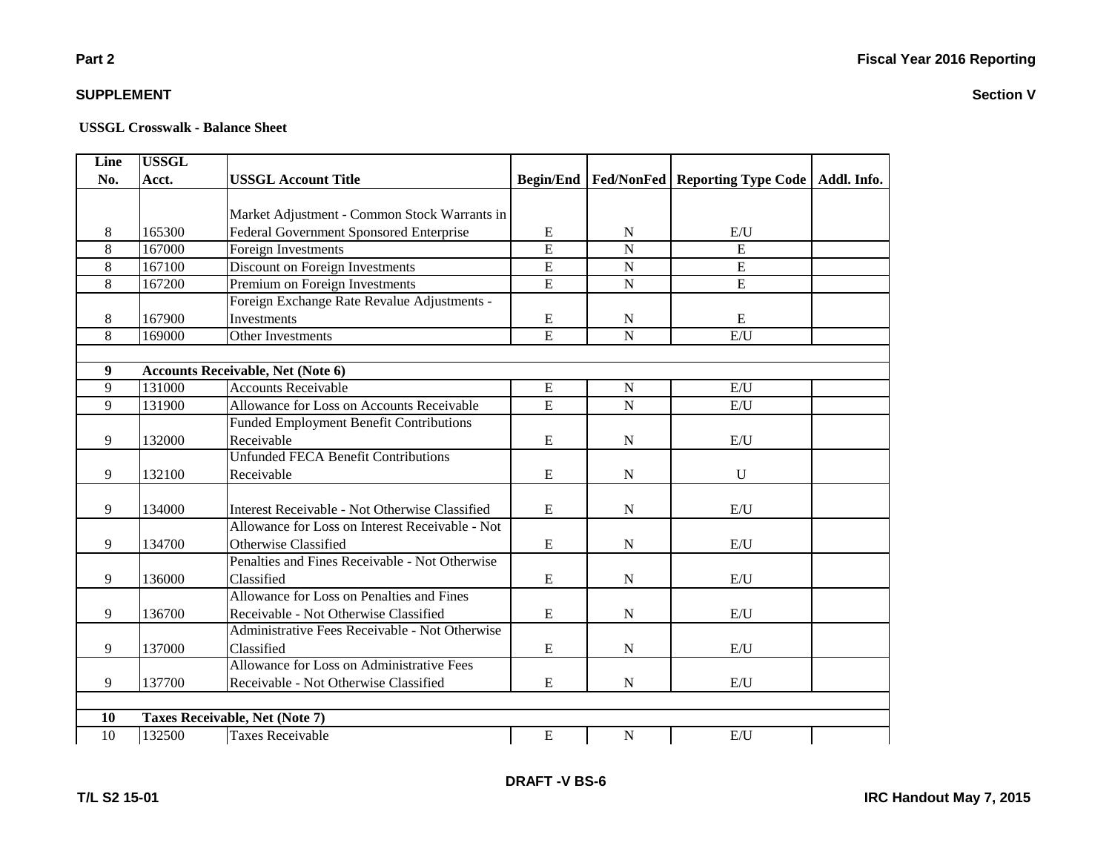**Part 2**

| <b>Line</b>      | <b>USSGL</b> |                                                  |                |                |                                                            |  |
|------------------|--------------|--------------------------------------------------|----------------|----------------|------------------------------------------------------------|--|
| No.              | Acct.        | <b>USSGL Account Title</b>                       |                |                | Begin/End   Fed/NonFed   Reporting Type Code   Addl. Info. |  |
|                  |              |                                                  |                |                |                                                            |  |
|                  |              | Market Adjustment - Common Stock Warrants in     |                |                |                                                            |  |
| 8                | 165300       | Federal Government Sponsored Enterprise          | ${\bf E}$      | N              | E/U                                                        |  |
| 8                | 167000       | Foreign Investments                              | $\overline{E}$ | $\overline{N}$ | $\overline{E}$                                             |  |
| 8                | 167100       | Discount on Foreign Investments                  | E              | $\overline{N}$ | $\overline{E}$                                             |  |
| $\overline{8}$   | 167200       | Premium on Foreign Investments                   | E              | $\overline{N}$ | $\overline{E}$                                             |  |
|                  |              | Foreign Exchange Rate Revalue Adjustments -      |                |                |                                                            |  |
| 8                | 167900       | Investments                                      | ${\bf E}$      | $\mathbf N$    | Ε                                                          |  |
| 8                | 169000       | Other Investments                                | E              | $\mathbf N$    | E/U                                                        |  |
|                  |              |                                                  |                |                |                                                            |  |
| $\boldsymbol{9}$ |              | <b>Accounts Receivable, Net (Note 6)</b>         |                |                |                                                            |  |
| 9                | 131000       | <b>Accounts Receivable</b>                       | ${\bf E}$      | $\mathbf N$    | E/U                                                        |  |
| 9                | 131900       | Allowance for Loss on Accounts Receivable        | E              | $\overline{N}$ | E/U                                                        |  |
|                  |              | <b>Funded Employment Benefit Contributions</b>   |                |                |                                                            |  |
| 9                | 132000       | Receivable                                       | E              | $\mathbf N$    | E/U                                                        |  |
|                  |              | <b>Unfunded FECA Benefit Contributions</b>       |                |                |                                                            |  |
| 9                | 132100       | Receivable                                       | ${\bf E}$      | $\mathbf N$    | $\mathbf U$                                                |  |
|                  |              |                                                  |                |                |                                                            |  |
| 9                | 134000       | Interest Receivable - Not Otherwise Classified   | ${\bf E}$      | $\mathbf N$    | E/U                                                        |  |
|                  |              | Allowance for Loss on Interest Receivable - Not  |                |                |                                                            |  |
| 9                | 134700       | Otherwise Classified                             | E              | N              | E/U                                                        |  |
|                  |              | Penalties and Fines Receivable - Not Otherwise   |                |                |                                                            |  |
| 9                | 136000       | Classified                                       | ${\bf E}$      | $\mathbf N$    | E/U                                                        |  |
|                  |              | Allowance for Loss on Penalties and Fines        |                |                |                                                            |  |
| 9                | 136700       | Receivable - Not Otherwise Classified            | E              | $\mathbf N$    | E/U                                                        |  |
|                  |              | Administrative Fees Receivable - Not Otherwise   |                |                |                                                            |  |
| 9                | 137000       | Classified                                       | E              | $\mathbf N$    | $\mathbf{E}/\mathbf{U}$                                    |  |
|                  |              | <b>Allowance for Loss on Administrative Fees</b> |                |                |                                                            |  |
| 9                | 137700       | Receivable - Not Otherwise Classified            | ${\bf E}$      | $\mathbf N$    | E/U                                                        |  |
|                  |              |                                                  |                |                |                                                            |  |
| 10               |              | Taxes Receivable, Net (Note 7)                   |                |                |                                                            |  |
| 10               | 132500       | <b>Taxes Receivable</b>                          | ${\bf E}$      | $\mathbf N$    | E/U                                                        |  |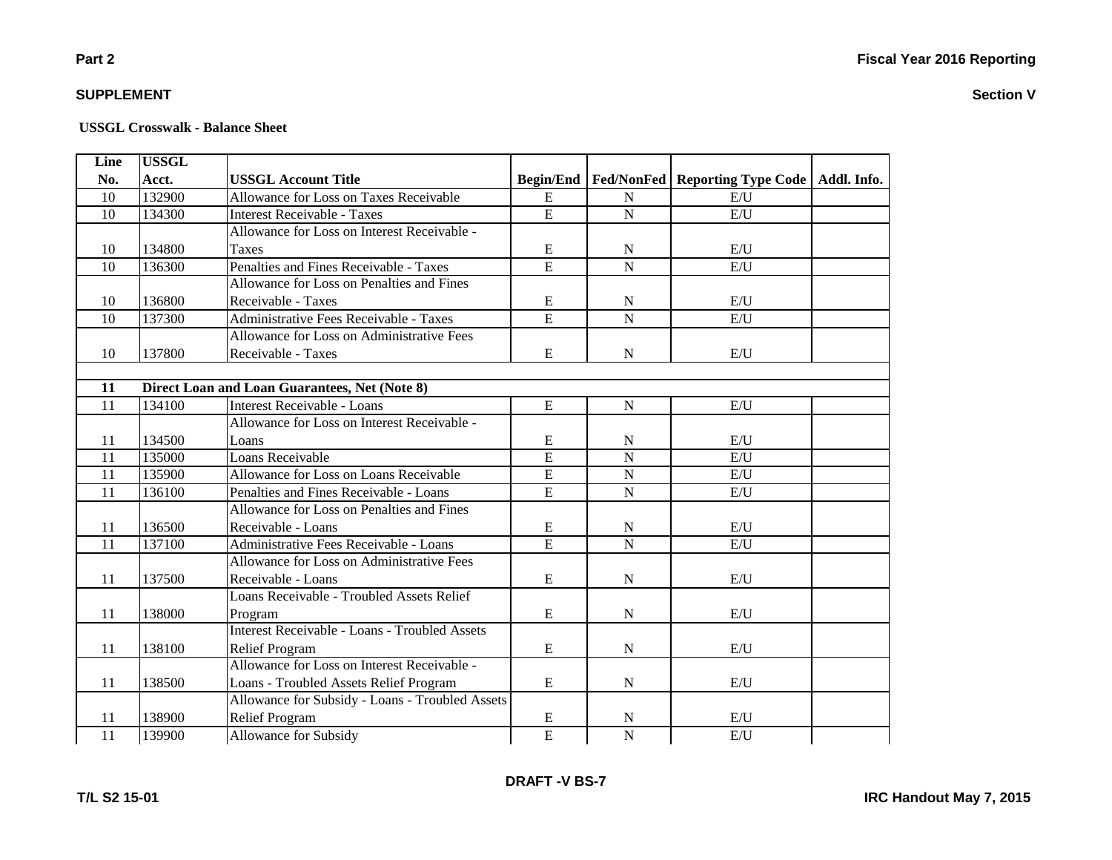### **Part 2**

### **SUPPLEMENT**

| Line            | <b>USSGL</b> |                                                 |                |                |                                                       |             |
|-----------------|--------------|-------------------------------------------------|----------------|----------------|-------------------------------------------------------|-------------|
| No.             | Acct.        | <b>USSGL Account Title</b>                      |                |                | <b>Begin/End   Fed/NonFed   Reporting Type Code  </b> | Addl. Info. |
| 10              | 132900       | Allowance for Loss on Taxes Receivable          | E              | ${\bf N}$      | E/U                                                   |             |
| 10              | 134300       | <b>Interest Receivable - Taxes</b>              | $\overline{E}$ | ${\bf N}$      | $E/\overline{U}$                                      |             |
|                 |              | Allowance for Loss on Interest Receivable -     |                |                |                                                       |             |
| 10              | 134800       | Taxes                                           | $\mathbf E$    | ${\bf N}$      | E/U                                                   |             |
| $\overline{10}$ | 136300       | Penalties and Fines Receivable - Taxes          | $\overline{E}$ | $\overline{N}$ | E/U                                                   |             |
|                 |              | Allowance for Loss on Penalties and Fines       |                |                |                                                       |             |
| 10              | 136800       | Receivable - Taxes                              | ${\bf E}$      | ${\bf N}$      | E/U                                                   |             |
| 10              | 137300       | Administrative Fees Receivable - Taxes          | $\overline{E}$ | $\overline{N}$ | E/U                                                   |             |
|                 |              | Allowance for Loss on Administrative Fees       |                |                |                                                       |             |
| 10              | 137800       | Receivable - Taxes                              | E              | $\mathbf N$    | E/U                                                   |             |
|                 |              |                                                 |                |                |                                                       |             |
| 11              |              | Direct Loan and Loan Guarantees, Net (Note 8)   |                |                |                                                       |             |
| 11              | 134100       | Interest Receivable - Loans                     | E              | ${\bf N}$      | E/U                                                   |             |
|                 |              | Allowance for Loss on Interest Receivable -     |                |                |                                                       |             |
| 11              | 134500       | Loans                                           | E              | $\mathbf N$    | E/U                                                   |             |
| 11              | 135000       | Loans Receivable                                | $\overline{E}$ | $\overline{N}$ | E/U                                                   |             |
| $\overline{11}$ | 135900       | Allowance for Loss on Loans Receivable          | $\overline{E}$ | $\overline{N}$ | $\mathrm{E}/\mathrm{U}$                               |             |
| 11              | 136100       | Penalties and Fines Receivable - Loans          | $\overline{E}$ | ${\bf N}$      | E/U                                                   |             |
|                 |              | Allowance for Loss on Penalties and Fines       |                |                |                                                       |             |
| 11              | 136500       | Receivable - Loans                              | E              | N              | E/U                                                   |             |
| 11              | 137100       | Administrative Fees Receivable - Loans          | $\overline{E}$ | $\overline{N}$ | E/U                                                   |             |
|                 |              | Allowance for Loss on Administrative Fees       |                |                |                                                       |             |
| 11              | 137500       | Receivable - Loans                              | E              | ${\bf N}$      | E/U                                                   |             |
|                 |              | Loans Receivable - Troubled Assets Relief       |                |                |                                                       |             |
| 11              | 138000       | Program                                         | $\mathbf E$    | ${\bf N}$      | E/U                                                   |             |
|                 |              | Interest Receivable - Loans - Troubled Assets   |                |                |                                                       |             |
| 11              | 138100       | <b>Relief Program</b>                           | E              | ${\bf N}$      | E/U                                                   |             |
|                 |              | Allowance for Loss on Interest Receivable -     |                |                |                                                       |             |
| 11              | 138500       | Loans - Troubled Assets Relief Program          | E              | ${\bf N}$      | E/U                                                   |             |
|                 |              | Allowance for Subsidy - Loans - Troubled Assets |                |                |                                                       |             |
| 11              | 138900       | <b>Relief Program</b>                           | E              | ${\bf N}$      | E/U                                                   |             |
| $\overline{11}$ | 139900       | <b>Allowance for Subsidy</b>                    | $\overline{E}$ | $\overline{N}$ | E/U                                                   |             |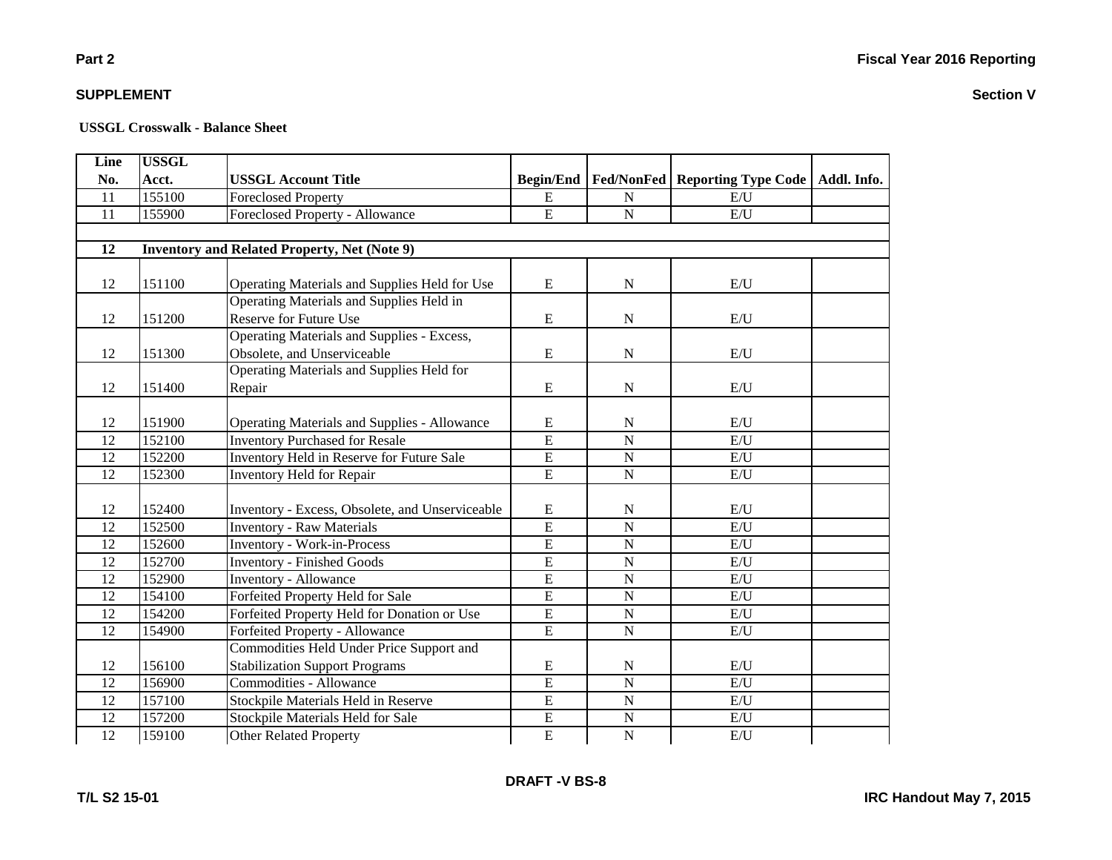## **USSGL Crosswalk - Balance Sheet**

| Line            | <b>USSGL</b> |                                                     |                         |                         |                                         |             |
|-----------------|--------------|-----------------------------------------------------|-------------------------|-------------------------|-----------------------------------------|-------------|
| No.             | Acct.        | <b>USSGL Account Title</b>                          | <b>Begin/End</b>        |                         | <b>Fed/NonFed   Reporting Type Code</b> | Addl. Info. |
| 11              | 155100       | <b>Foreclosed Property</b>                          | E                       | N                       | E/U                                     |             |
| 11              | 155900       | Foreclosed Property - Allowance                     | E                       | $\mathbf N$             | E/U                                     |             |
|                 |              |                                                     |                         |                         |                                         |             |
| 12              |              | <b>Inventory and Related Property, Net (Note 9)</b> |                         |                         |                                         |             |
|                 |              |                                                     |                         |                         |                                         |             |
| 12              | 151100       | Operating Materials and Supplies Held for Use       | ${\bf E}$               | ${\bf N}$               | E/U                                     |             |
|                 |              | Operating Materials and Supplies Held in            |                         |                         |                                         |             |
| 12              | 151200       | Reserve for Future Use                              | ${\bf E}$               | $\mathbf N$             | E/U                                     |             |
|                 |              | Operating Materials and Supplies - Excess,          |                         |                         |                                         |             |
| 12              | 151300       | Obsolete, and Unserviceable                         | E                       | ${\bf N}$               | E/U                                     |             |
|                 |              | Operating Materials and Supplies Held for           |                         |                         |                                         |             |
| 12              | 151400       | Repair                                              | ${\bf E}$               | $\mathbf N$             | E/U                                     |             |
|                 |              |                                                     |                         |                         |                                         |             |
| 12              | 151900       | Operating Materials and Supplies - Allowance        | ${\bf E}$               | ${\bf N}$               | E/U                                     |             |
| 12              | 152100       | <b>Inventory Purchased for Resale</b>               | $\overline{\mathrm{E}}$ | $\overline{\mathbf{N}}$ | E/U                                     |             |
| 12              | 152200       | Inventory Held in Reserve for Future Sale           | $\overline{E}$          | $\mathbf N$             | E/U                                     |             |
| 12              | 152300       | Inventory Held for Repair                           | E                       | $\mathbf N$             | E/U                                     |             |
|                 |              |                                                     |                         |                         |                                         |             |
| 12              | 152400       | Inventory - Excess, Obsolete, and Unserviceable     | E                       | $\mathbf N$             | E/U                                     |             |
| 12              | 152500       | <b>Inventory - Raw Materials</b>                    | $\overline{E}$          | $\overline{N}$          | E/U                                     |             |
| 12              | 152600       | <b>Inventory - Work-in-Process</b>                  | E                       | $\mathbf N$             | E/U                                     |             |
| 12              | 152700       | <b>Inventory - Finished Goods</b>                   | $\overline{E}$          | $\overline{N}$          | E/U                                     |             |
| 12              | 152900       | <b>Inventory - Allowance</b>                        | $\overline{E}$          | $\mathbf N$             | E/U                                     |             |
| 12              | 154100       | Forfeited Property Held for Sale                    | $\overline{E}$          | $\mathbf N$             | E/U                                     |             |
| 12              | 154200       | Forfeited Property Held for Donation or Use         | $\overline{E}$          | $\overline{N}$          | E/U                                     |             |
| 12              | 154900       | Forfeited Property - Allowance                      | E                       | $\mathbf N$             | E/U                                     |             |
|                 |              | Commodities Held Under Price Support and            |                         |                         |                                         |             |
| 12              | 156100       | <b>Stabilization Support Programs</b>               | E                       | $\mathbf N$             | E/U                                     |             |
| 12              | 156900       | Commodities - Allowance                             | $\overline{E}$          | $\mathbf N$             | E/U                                     |             |
| 12              | 157100       | Stockpile Materials Held in Reserve                 | $\overline{E}$          | $\mathbf N$             | E/U                                     |             |
| 12              | 157200       | Stockpile Materials Held for Sale                   | $\overline{E}$          | $\mathbf N$             | E/U                                     |             |
| $\overline{12}$ | 159100       | <b>Other Related Property</b>                       | $\overline{E}$          | $\mathbf N$             | E/U                                     |             |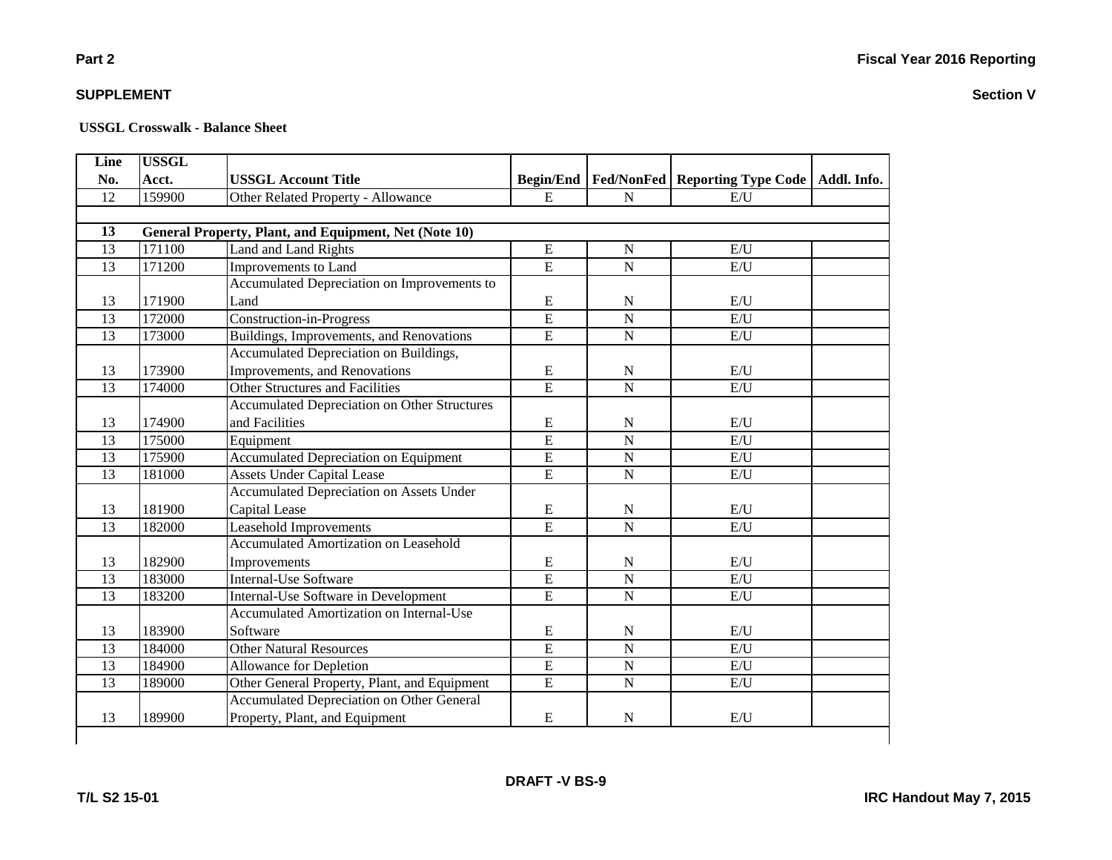**Section V**

### **SUPPLEMENT**

| No.<br>12<br>13 | Acct.<br>159900 | <b>USSGL Account Title</b>                            | <b>Begin/End</b> |                |                                  |             |
|-----------------|-----------------|-------------------------------------------------------|------------------|----------------|----------------------------------|-------------|
|                 |                 |                                                       |                  |                | Fed/NonFed   Reporting Type Code | Addl. Info. |
|                 |                 | Other Related Property - Allowance                    | $\mathbf E$      | ${\bf N}$      | E/U                              |             |
|                 |                 |                                                       |                  |                |                                  |             |
|                 |                 | General Property, Plant, and Equipment, Net (Note 10) |                  |                |                                  |             |
| 13              | 171100          | Land and Land Rights                                  | ${\bf E}$        | $\mathbf N$    | E/U                              |             |
| $\overline{13}$ | 171200          | Improvements to Land                                  | $\overline{E}$   | $\overline{N}$ | E/U                              |             |
|                 |                 | Accumulated Depreciation on Improvements to           |                  |                |                                  |             |
| 13              | 171900          | Land                                                  | E                | $\mathbf N$    | E/U                              |             |
| 13              | 172000          | Construction-in-Progress                              | E                | $\overline{N}$ | E/U                              |             |
| 13              | 173000          | Buildings, Improvements, and Renovations              | E                | ${\bf N}$      | E/U                              |             |
|                 |                 | Accumulated Depreciation on Buildings,                |                  |                |                                  |             |
| 13              | 173900          | Improvements, and Renovations                         | ${\bf E}$        | N              | E/U                              |             |
| 13              | 174000          | <b>Other Structures and Facilities</b>                | $\overline{E}$   | $\overline{N}$ | E/U                              |             |
|                 |                 | <b>Accumulated Depreciation on Other Structures</b>   |                  |                |                                  |             |
| 13              | 174900          | and Facilities                                        | E                | N              | E/U                              |             |
| 13              | 175000          | Equipment                                             | $\overline{E}$   | $\overline{N}$ | E/U                              |             |
| 13              | 175900          | <b>Accumulated Depreciation on Equipment</b>          | $\overline{E}$   | $\mathbf N$    | E/U                              |             |
| 13              | 181000          | <b>Assets Under Capital Lease</b>                     | E                | $\mathbf N$    | E/U                              |             |
|                 |                 | <b>Accumulated Depreciation on Assets Under</b>       |                  |                |                                  |             |
| 13              | 181900          | Capital Lease                                         | ${\bf E}$        | N              | E/U                              |             |
| 13              | 182000          | Leasehold Improvements                                | $\overline{E}$   | ${\bf N}$      | E/U                              |             |
|                 |                 | <b>Accumulated Amortization on Leasehold</b>          |                  |                |                                  |             |
| 13              | 182900          | Improvements                                          | ${\bf E}$        | ${\bf N}$      | E/U                              |             |
| 13              | 183000          | <b>Internal-Use Software</b>                          | $\overline{E}$   | $\mathbf N$    | E/U                              |             |
| 13              | 183200          | Internal-Use Software in Development                  | E                | $\mathbf N$    | E/U                              |             |
|                 |                 | <b>Accumulated Amortization on Internal-Use</b>       |                  |                |                                  |             |
| 13              | 183900          | Software                                              | E                | ${\bf N}$      | E/U                              |             |
| 13              | 184000          | <b>Other Natural Resources</b>                        | $\overline{E}$   | $\mathbf N$    | E/U                              |             |
| 13              | 184900          | Allowance for Depletion                               | $\overline{E}$   | $\overline{N}$ | E/U                              |             |
| 13              | 189000          | Other General Property, Plant, and Equipment          | E                | ${\bf N}$      | E/U                              |             |
|                 |                 | <b>Accumulated Depreciation on Other General</b>      |                  |                |                                  |             |
| 13              | 189900          | Property, Plant, and Equipment                        | ${\bf E}$        | $\mathbf N$    | E/U                              |             |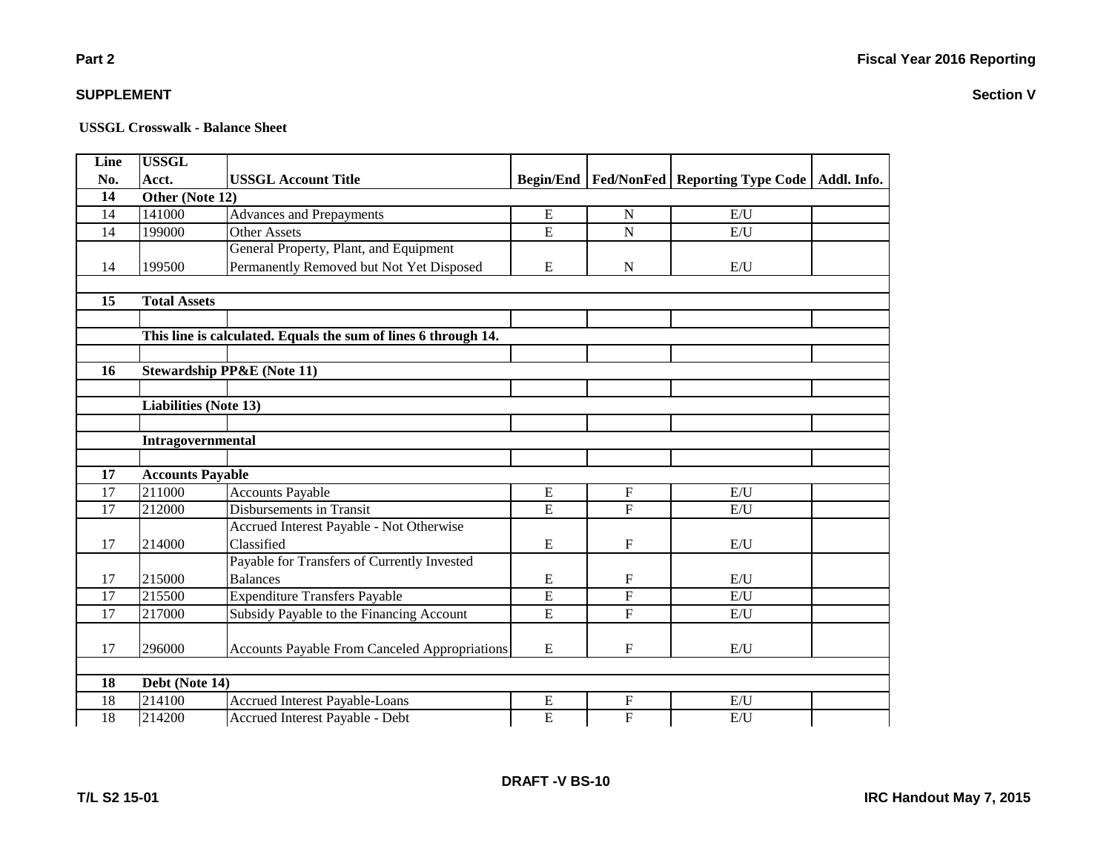### **Part 2**

### **SUPPLEMENT**

| Line            | <b>USSGL</b>                 |                                                                |                  |                           |                            |             |
|-----------------|------------------------------|----------------------------------------------------------------|------------------|---------------------------|----------------------------|-------------|
| No.             | Acct.                        | <b>USSGL Account Title</b>                                     | <b>Begin/End</b> | <b>Fed/NonFed</b>         | <b>Reporting Type Code</b> | Addl. Info. |
| 14              | Other (Note 12)              |                                                                |                  |                           |                            |             |
| 14              | 141000                       | <b>Advances and Prepayments</b>                                | ${\bf E}$        | N                         | E/U                        |             |
| $\overline{14}$ | 199000                       | <b>Other Assets</b>                                            | $\overline{E}$   | $\overline{N}$            | E/U                        |             |
|                 |                              | General Property, Plant, and Equipment                         |                  |                           |                            |             |
| 14              | 199500                       | Permanently Removed but Not Yet Disposed                       | ${\bf E}$        | ${\bf N}$                 | E/U                        |             |
|                 |                              |                                                                |                  |                           |                            |             |
| 15              | <b>Total Assets</b>          |                                                                |                  |                           |                            |             |
|                 |                              |                                                                |                  |                           |                            |             |
|                 |                              | This line is calculated. Equals the sum of lines 6 through 14. |                  |                           |                            |             |
|                 |                              |                                                                |                  |                           |                            |             |
| 16              |                              | <b>Stewardship PP&amp;E (Note 11)</b>                          |                  |                           |                            |             |
|                 |                              |                                                                |                  |                           |                            |             |
|                 | <b>Liabilities (Note 13)</b> |                                                                |                  |                           |                            |             |
|                 |                              |                                                                |                  |                           |                            |             |
|                 | Intragovernmental            |                                                                |                  |                           |                            |             |
|                 |                              |                                                                |                  |                           |                            |             |
| 17              | <b>Accounts Payable</b>      |                                                                |                  |                           |                            |             |
| 17              | 211000                       | <b>Accounts Payable</b>                                        | ${\bf E}$        | $\mathbf{F}$              | E/U                        |             |
| 17              | 212000                       | Disbursements in Transit                                       | $\overline{E}$   | $\overline{F}$            | E/U                        |             |
|                 |                              | Accrued Interest Payable - Not Otherwise                       |                  |                           |                            |             |
| 17              | 214000                       | Classified                                                     | E                | $\boldsymbol{\mathrm{F}}$ | E/U                        |             |
|                 |                              | Payable for Transfers of Currently Invested                    |                  |                           |                            |             |
| 17              | 215000                       | <b>Balances</b>                                                | E                | $\mathbf{F}$              | E/U                        |             |
| 17              | 215500                       | <b>Expenditure Transfers Payable</b>                           | $\overline{E}$   | $\overline{F}$            | E/U                        |             |
| 17              | 217000                       | Subsidy Payable to the Financing Account                       | $\overline{E}$   | $\overline{F}$            | E/U                        |             |
|                 |                              |                                                                |                  |                           |                            |             |
| 17              | 296000                       | <b>Accounts Payable From Canceled Appropriations</b>           | ${\bf E}$        | $\mathbf{F}$              | E/U                        |             |
|                 |                              |                                                                |                  |                           |                            |             |
| 18              | Debt (Note 14)               |                                                                |                  |                           |                            |             |
| $\overline{18}$ | 214100                       | <b>Accrued Interest Payable-Loans</b>                          | ${\bf E}$        | $\mathbf{F}$              | E/U                        |             |
| $\overline{18}$ | 214200                       | Accrued Interest Payable - Debt                                | $\overline{E}$   | $\overline{F}$            | E/U                        |             |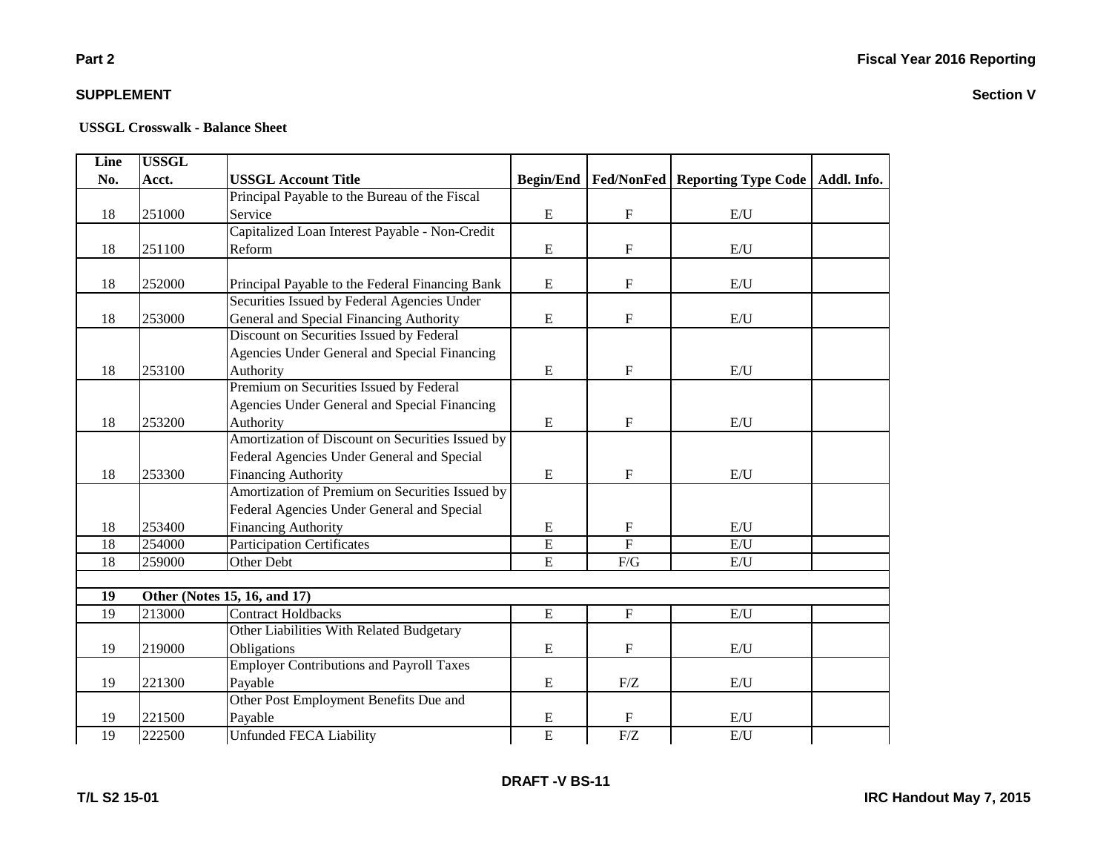### **Part 2**

### **SUPPLEMENT**

| Line | <b>USSGL</b> |                                                  |                  |                |                                                |  |
|------|--------------|--------------------------------------------------|------------------|----------------|------------------------------------------------|--|
| No.  | Acct.        | <b>USSGL Account Title</b>                       | <b>Begin/End</b> |                | Fed/NonFed   Reporting Type Code   Addl. Info. |  |
|      |              | Principal Payable to the Bureau of the Fiscal    |                  |                |                                                |  |
| 18   | 251000       | Service                                          | ${\bf E}$        | $\mathbf F$    | E/U                                            |  |
|      |              | Capitalized Loan Interest Payable - Non-Credit   |                  |                |                                                |  |
| 18   | 251100       | Reform                                           | ${\bf E}$        | $\mathbf F$    | E/U                                            |  |
|      |              |                                                  |                  |                |                                                |  |
| 18   | 252000       | Principal Payable to the Federal Financing Bank  | ${\bf E}$        | $\mathbf F$    | $\mathrm{E}/\mathrm{U}$                        |  |
|      |              | Securities Issued by Federal Agencies Under      |                  |                |                                                |  |
| 18   | 253000       | General and Special Financing Authority          | E                | $\mathbf F$    | E/U                                            |  |
|      |              | Discount on Securities Issued by Federal         |                  |                |                                                |  |
|      |              | Agencies Under General and Special Financing     |                  |                |                                                |  |
| 18   | 253100       | Authority                                        | ${\bf E}$        | $\mathbf F$    | E/U                                            |  |
|      |              | Premium on Securities Issued by Federal          |                  |                |                                                |  |
|      |              | Agencies Under General and Special Financing     |                  |                |                                                |  |
| 18   | 253200       | Authority                                        | E                | $\mathbf F$    | E/U                                            |  |
|      |              | Amortization of Discount on Securities Issued by |                  |                |                                                |  |
|      |              | Federal Agencies Under General and Special       |                  |                |                                                |  |
| 18   | 253300       | <b>Financing Authority</b>                       | ${\bf E}$        | $\mathbf F$    | E/U                                            |  |
|      |              | Amortization of Premium on Securities Issued by  |                  |                |                                                |  |
|      |              | Federal Agencies Under General and Special       |                  |                |                                                |  |
| 18   | 253400       | <b>Financing Authority</b>                       | E                | $\mathbf F$    | E/U                                            |  |
| 18   | 254000       | <b>Participation Certificates</b>                | $\overline{E}$   | $\overline{F}$ | E/U                                            |  |
| 18   | 259000       | Other Debt                                       | $\overline{E}$   | F/G            | E/U                                            |  |
|      |              |                                                  |                  |                |                                                |  |
| 19   |              | Other (Notes 15, 16, and 17)                     |                  |                |                                                |  |
| 19   | 213000       | <b>Contract Holdbacks</b>                        | ${\bf E}$        | $\mathbf F$    | $\mathrm{E}/\mathrm{U}$                        |  |
|      |              | Other Liabilities With Related Budgetary         |                  |                |                                                |  |
| 19   | 219000       | Obligations                                      | ${\bf E}$        | $\mathbf F$    | E/U                                            |  |
|      |              | <b>Employer Contributions and Payroll Taxes</b>  |                  |                |                                                |  |
| 19   | 221300       | Payable                                          | ${\bf E}$        | F/Z            | E/U                                            |  |
|      |              | Other Post Employment Benefits Due and           |                  |                |                                                |  |
| 19   | 221500       | Payable                                          | E                | F              | E/U                                            |  |
| 19   | 222500       | <b>Unfunded FECA Liability</b>                   | $\overline{E}$   | F/Z            | E/U                                            |  |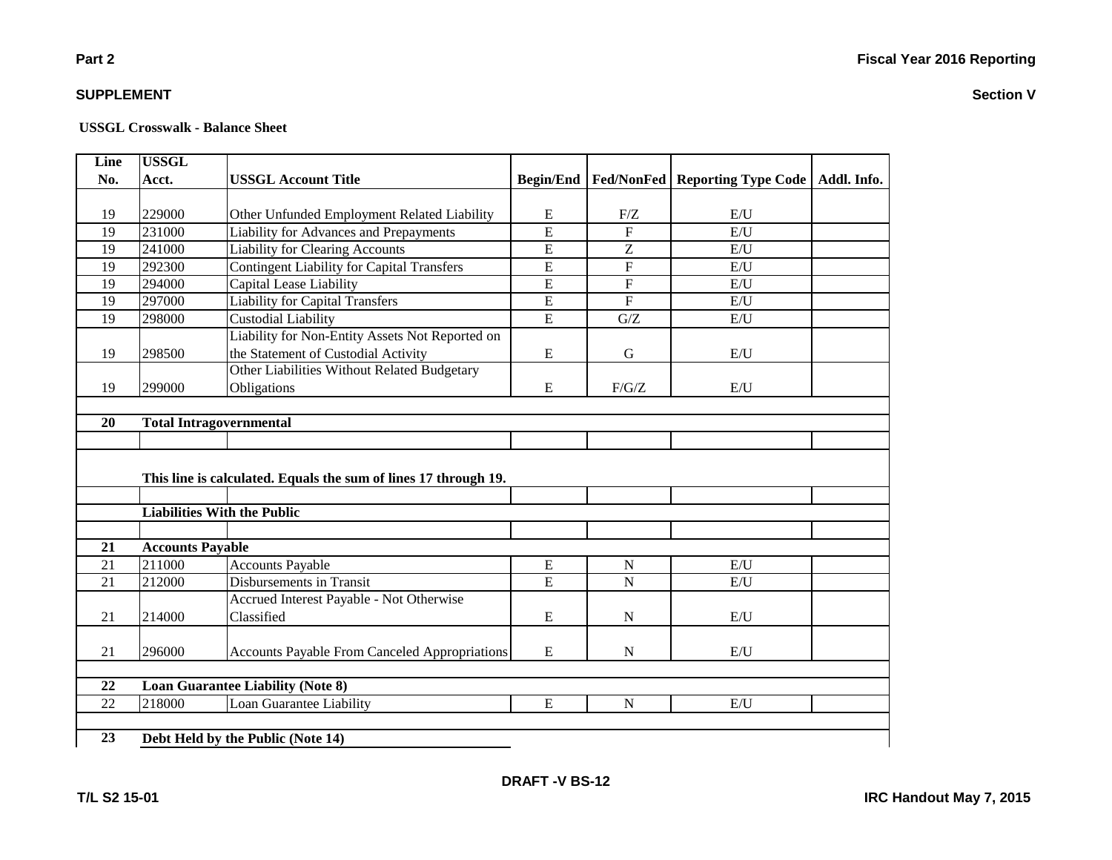#### **USSGL Crosswalk - Balance Sheet**

| <b>USSGL</b>            |                                                      |                                                                                                   |                                    |     |                            |
|-------------------------|------------------------------------------------------|---------------------------------------------------------------------------------------------------|------------------------------------|-----|----------------------------|
| Acct.                   | <b>USSGL Account Title</b>                           | <b>Begin/End</b>                                                                                  | <b>Fed/NonFed</b>                  |     | Addl. Info.                |
|                         |                                                      |                                                                                                   |                                    |     |                            |
| 229000                  | Other Unfunded Employment Related Liability          | E                                                                                                 | F/Z                                | E/U |                            |
| 231000                  | <b>Liability for Advances and Prepayments</b>        | $\overline{E}$                                                                                    | $\overline{F}$                     | E/U |                            |
| 241000                  | <b>Liability for Clearing Accounts</b>               | $\overline{E}$                                                                                    | Z                                  | E/U |                            |
| 292300                  | <b>Contingent Liability for Capital Transfers</b>    | $\overline{E}$                                                                                    | $\overline{F}$                     | E/U |                            |
| 294000                  | Capital Lease Liability                              | $\overline{E}$                                                                                    | $\overline{F}$                     | E/U |                            |
| 297000                  | <b>Liability for Capital Transfers</b>               | $\overline{E}$                                                                                    | $\overline{F}$                     | E/U |                            |
| 298000                  | Custodial Liability                                  | $\overline{E}$                                                                                    | G/Z                                | E/U |                            |
|                         | Liability for Non-Entity Assets Not Reported on      |                                                                                                   |                                    |     |                            |
| 298500                  | the Statement of Custodial Activity                  | E                                                                                                 | G                                  | E/U |                            |
|                         | Other Liabilities Without Related Budgetary          |                                                                                                   |                                    |     |                            |
| 299000                  | Obligations                                          | E                                                                                                 | F/G/Z                              | E/U |                            |
|                         |                                                      |                                                                                                   |                                    |     |                            |
|                         |                                                      |                                                                                                   |                                    |     |                            |
|                         |                                                      |                                                                                                   |                                    |     |                            |
|                         |                                                      |                                                                                                   |                                    |     |                            |
|                         |                                                      |                                                                                                   |                                    |     |                            |
|                         |                                                      |                                                                                                   |                                    |     |                            |
|                         |                                                      |                                                                                                   |                                    |     |                            |
|                         |                                                      |                                                                                                   |                                    |     |                            |
| <b>Accounts Payable</b> |                                                      |                                                                                                   |                                    |     |                            |
|                         |                                                      |                                                                                                   |                                    |     |                            |
|                         |                                                      |                                                                                                   |                                    |     |                            |
| 211000                  | <b>Accounts Payable</b>                              | E                                                                                                 | ${\bf N}$                          | E/U |                            |
| 212000                  | Disbursements in Transit                             | $\overline{E}$                                                                                    | $\overline{N}$                     | E/U |                            |
|                         | Accrued Interest Payable - Not Otherwise             |                                                                                                   |                                    |     |                            |
| 214000                  | Classified                                           | ${\bf E}$                                                                                         | $\mathbf N$                        | E/U |                            |
|                         |                                                      |                                                                                                   |                                    |     |                            |
| 296000                  | <b>Accounts Payable From Canceled Appropriations</b> | ${\bf E}$                                                                                         | $\mathbf N$                        | E/U |                            |
|                         |                                                      |                                                                                                   |                                    |     |                            |
|                         | <b>Loan Guarantee Liability (Note 8)</b>             |                                                                                                   |                                    |     |                            |
| 218000                  | Loan Guarantee Liability                             | ${\bf E}$                                                                                         | $\mathbf N$                        | E/U |                            |
|                         |                                                      | <b>Total Intragovernmental</b><br>This line is calculated. Equals the sum of lines 17 through 19. | <b>Liabilities With the Public</b> |     | <b>Reporting Type Code</b> |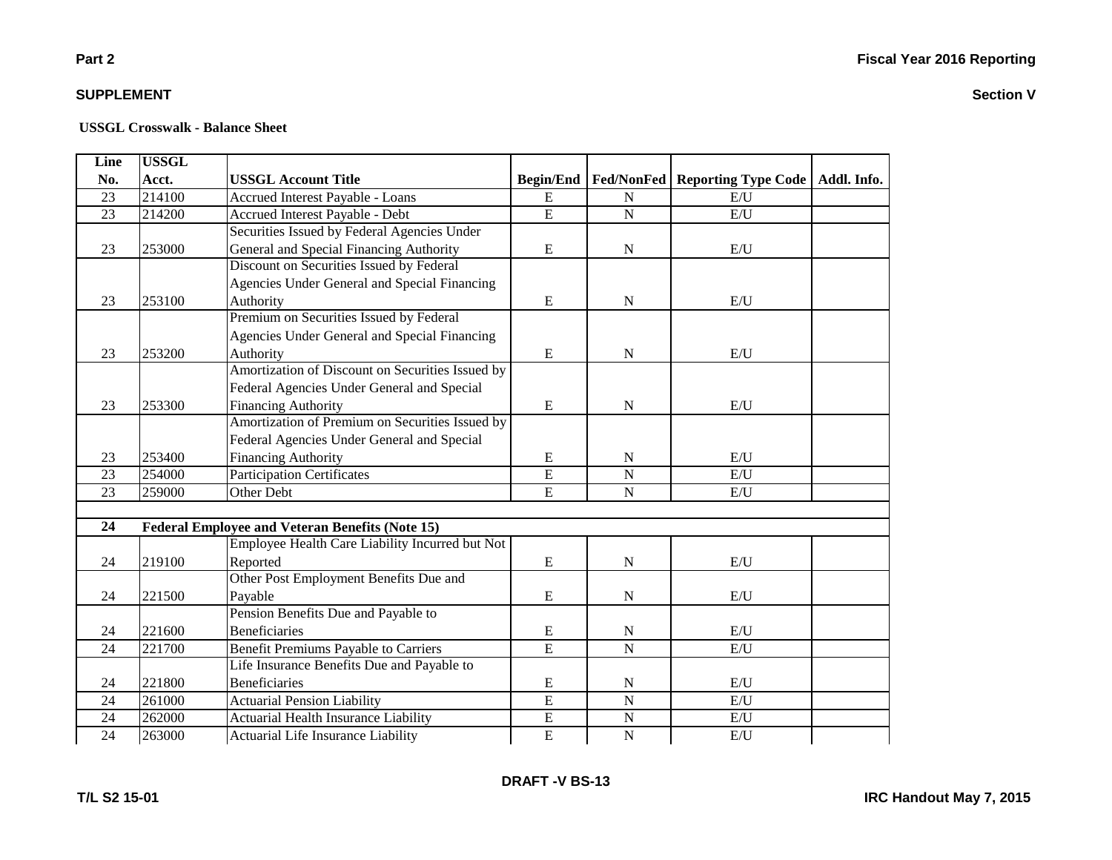### **Part 2**

### **SUPPLEMENT**

| <b>Line</b>     | <b>USSGL</b> |                                                        |                  |                |                                         |             |
|-----------------|--------------|--------------------------------------------------------|------------------|----------------|-----------------------------------------|-------------|
| No.             | Acct.        | <b>USSGL Account Title</b>                             | <b>Begin/End</b> |                | <b>Fed/NonFed   Reporting Type Code</b> | Addl. Info. |
| 23              | 214100       | <b>Accrued Interest Payable - Loans</b>                | E                | N              | E/U                                     |             |
| 23              | 214200       | Accrued Interest Payable - Debt                        | $\overline{E}$   | $\mathbf N$    | E/U                                     |             |
|                 |              | Securities Issued by Federal Agencies Under            |                  |                |                                         |             |
| 23              | 253000       | General and Special Financing Authority                | $\mathbf E$      | $\mathbf N$    | E/U                                     |             |
|                 |              | Discount on Securities Issued by Federal               |                  |                |                                         |             |
|                 |              | Agencies Under General and Special Financing           |                  |                |                                         |             |
| 23              | 253100       | Authority                                              | ${\bf E}$        | ${\bf N}$      | E/U                                     |             |
|                 |              | Premium on Securities Issued by Federal                |                  |                |                                         |             |
|                 |              | Agencies Under General and Special Financing           |                  |                |                                         |             |
| 23              | 253200       | Authority                                              | E                | N              | E/U                                     |             |
|                 |              | Amortization of Discount on Securities Issued by       |                  |                |                                         |             |
|                 |              | Federal Agencies Under General and Special             |                  |                |                                         |             |
| 23              | 253300       | <b>Financing Authority</b>                             | E                | $\mathbf N$    | E/U                                     |             |
|                 |              | Amortization of Premium on Securities Issued by        |                  |                |                                         |             |
|                 |              | Federal Agencies Under General and Special             |                  |                |                                         |             |
| 23              | 253400       | <b>Financing Authority</b>                             | E                | ${\bf N}$      | E/U                                     |             |
| 23              | 254000       | <b>Participation Certificates</b>                      | E                | $\mathbf N$    | E/U                                     |             |
| 23              | 259000       | Other Debt                                             | $\mathbf E$      | ${\bf N}$      | E/U                                     |             |
|                 |              |                                                        |                  |                |                                         |             |
| 24              |              | <b>Federal Employee and Veteran Benefits (Note 15)</b> |                  |                |                                         |             |
|                 |              | Employee Health Care Liability Incurred but Not        |                  |                |                                         |             |
| 24              | 219100       | Reported                                               | ${\bf E}$        | $\mathbf N$    | E/U                                     |             |
|                 |              | Other Post Employment Benefits Due and                 |                  |                |                                         |             |
| 24              | 221500       | Payable                                                | $\mathbf E$      | ${\bf N}$      | E/U                                     |             |
|                 |              | Pension Benefits Due and Payable to                    |                  |                |                                         |             |
| 24              | 221600       | <b>Beneficiaries</b>                                   | E                | ${\bf N}$      | E/U                                     |             |
| 24              | 221700       | <b>Benefit Premiums Payable to Carriers</b>            | $\overline{E}$   | $\overline{N}$ | E/U                                     |             |
|                 |              | Life Insurance Benefits Due and Payable to             |                  |                |                                         |             |
| 24              | 221800       | <b>Beneficiaries</b>                                   | $\mathbf E$      | $\mathbf N$    | E/U                                     |             |
| 24              | 261000       | <b>Actuarial Pension Liability</b>                     | $\overline{E}$   | N              | E/I                                     |             |
| 24              | 262000       | Actuarial Health Insurance Liability                   | $\overline{E}$   | $\mathbf N$    | E/U                                     |             |
| $\overline{24}$ | 263000       | Actuarial Life Insurance Liability                     | $\overline{E}$   | $\overline{N}$ | E/U                                     |             |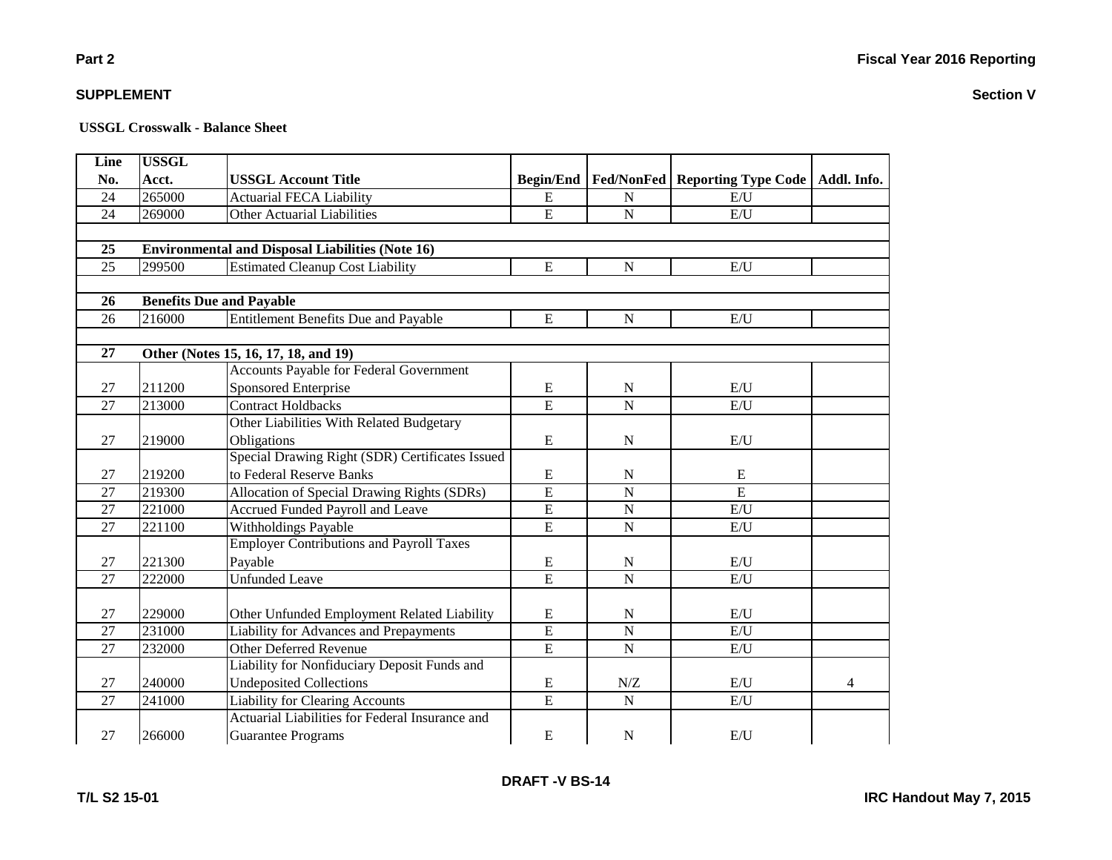**Section V**

### **SUPPLEMENT**

| <b>Line</b> | <b>USSGL</b> |                                                         |                  |                         |                            |             |
|-------------|--------------|---------------------------------------------------------|------------------|-------------------------|----------------------------|-------------|
| No.         | Acct.        | <b>USSGL Account Title</b>                              | <b>Begin/End</b> | <b>Fed/NonFed</b>       | <b>Reporting Type Code</b> | Addl. Info. |
| 24          | 265000       | <b>Actuarial FECA Liability</b>                         | E                | N                       | E/U                        |             |
| 24          | 269000       | Other Actuarial Liabilities                             | ${\bf E}$        | ${\bf N}$               | E/U                        |             |
|             |              |                                                         |                  |                         |                            |             |
| 25          |              | <b>Environmental and Disposal Liabilities (Note 16)</b> |                  |                         |                            |             |
| 25          | 299500       | <b>Estimated Cleanup Cost Liability</b>                 | E                | $\mathbf N$             | E/U                        |             |
|             |              |                                                         |                  |                         |                            |             |
| 26          |              | <b>Benefits Due and Payable</b>                         |                  |                         |                            |             |
| 26          | 216000       | Entitlement Benefits Due and Payable                    | ${\bf E}$        | N                       | E/U                        |             |
|             |              |                                                         |                  |                         |                            |             |
| 27          |              | Other (Notes 15, 16, 17, 18, and 19)                    |                  |                         |                            |             |
|             |              | Accounts Payable for Federal Government                 |                  |                         |                            |             |
| 27          | 211200       | Sponsored Enterprise                                    | ${\bf E}$        | ${\bf N}$               | E/U                        |             |
| 27          | 213000       | <b>Contract Holdbacks</b>                               | $\overline{E}$   | ${\bf N}$               | E/U                        |             |
|             |              | Other Liabilities With Related Budgetary                |                  |                         |                            |             |
| 27          | 219000       | Obligations                                             | $\mathbf E$      | ${\bf N}$               | $\mathbf{E}/\mathbf{U}$    |             |
|             |              | Special Drawing Right (SDR) Certificates Issued         |                  |                         |                            |             |
| 27          | 219200       | to Federal Reserve Banks                                | ${\bf E}$        | N                       | E                          |             |
| 27          | 219300       | Allocation of Special Drawing Rights (SDRs)             | $\overline{E}$   | $\mathbf N$             | E                          |             |
| 27          | 221000       | Accrued Funded Payroll and Leave                        | ${\bf E}$        | $\mathbf N$             | E/U                        |             |
| 27          | 221100       | Withholdings Payable                                    | ${\bf E}$        | ${\bf N}$               | E/U                        |             |
|             |              | <b>Employer Contributions and Payroll Taxes</b>         |                  |                         |                            |             |
| 27          | 221300       | Payable                                                 | ${\bf E}$        | $\mathbf N$             | E/U                        |             |
| 27          | 222000       | Unfunded Leave                                          | $\overline{E}$   | $\overline{N}$          | E/U                        |             |
|             |              |                                                         |                  |                         |                            |             |
| 27          | 229000       | Other Unfunded Employment Related Liability             | ${\bf E}$        | ${\bf N}$               | $\mathbf{E}/\mathbf{U}$    |             |
| 27          | 231000       | <b>Liability for Advances and Prepayments</b>           | $\overline{E}$   | $\overline{\mathbf{N}}$ | E/U                        |             |
| 27          | 232000       | Other Deferred Revenue                                  | $\overline{E}$   | $\mathbf N$             | E/U                        |             |
|             |              | Liability for Nonfiduciary Deposit Funds and            |                  |                         |                            |             |
| 27          | 240000       | <b>Undeposited Collections</b>                          | ${\bf E}$        | N/Z                     | E/U                        | 4           |
| 27          | 241000       | <b>Liability for Clearing Accounts</b>                  | $\overline{E}$   | ${\bf N}$               | $\mathbf{E}/\mathbf{U}$    |             |
|             |              | Actuarial Liabilities for Federal Insurance and         |                  |                         |                            |             |
| 27          | 266000       | <b>Guarantee Programs</b>                               | ${\bf E}$        | ${\bf N}$               | E/U                        |             |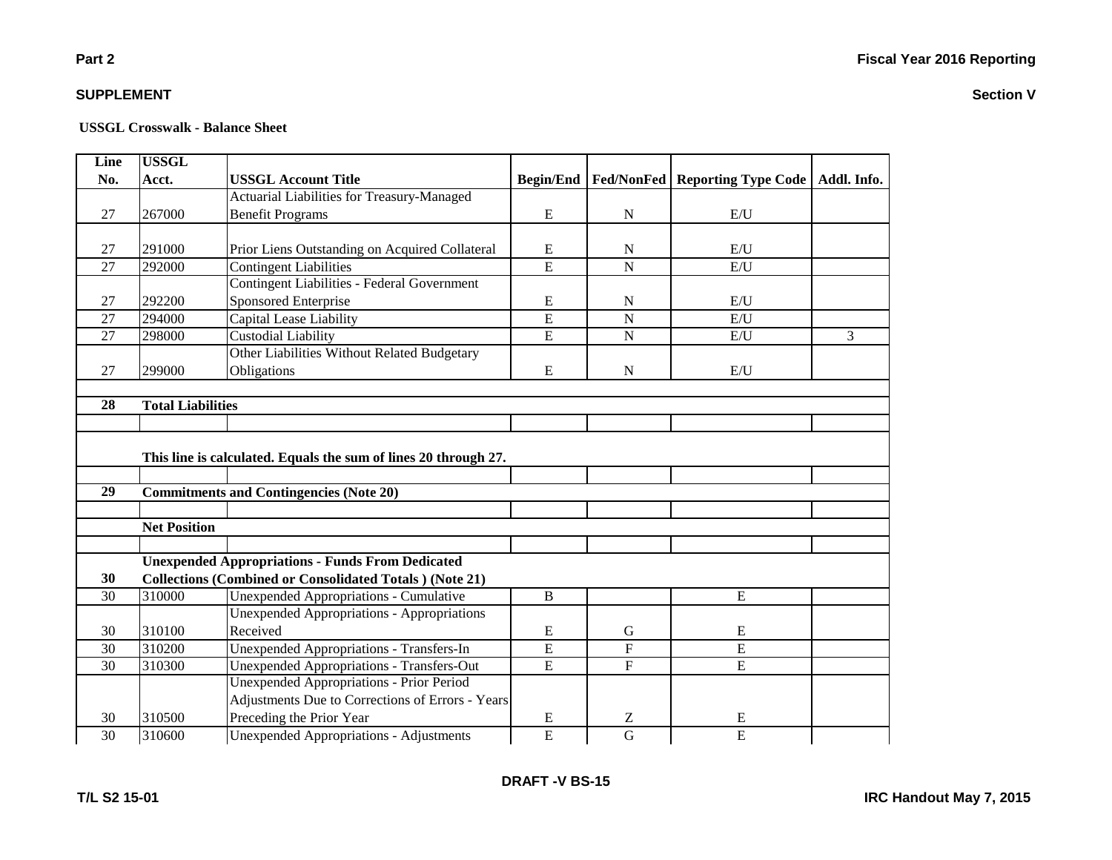#### **USSGL Crosswalk - Balance Sheet**

| Line            | <b>USSGL</b>             |                                                                 |                  |                   |                                   |   |
|-----------------|--------------------------|-----------------------------------------------------------------|------------------|-------------------|-----------------------------------|---|
| No.             | Acct.                    | <b>USSGL Account Title</b>                                      | <b>Begin/End</b> | <b>Fed/NonFed</b> | Reporting Type Code   Addl. Info. |   |
|                 |                          | Actuarial Liabilities for Treasury-Managed                      |                  |                   |                                   |   |
| 27              | 267000                   | <b>Benefit Programs</b>                                         | ${\bf E}$        | $\mathbf N$       | E/U                               |   |
|                 |                          |                                                                 |                  |                   |                                   |   |
| 27              | 291000                   | Prior Liens Outstanding on Acquired Collateral                  | E                | N                 | E/U                               |   |
| 27              | 292000                   | <b>Contingent Liabilities</b>                                   | $\overline{E}$   | $\overline{N}$    | E/U                               |   |
|                 |                          | <b>Contingent Liabilities - Federal Government</b>              |                  |                   |                                   |   |
| 27              | 292200                   | Sponsored Enterprise                                            | E                | $\mathbf N$       | E/U                               |   |
| 27              | 294000                   | Capital Lease Liability                                         | $\overline{E}$   | $\mathbf N$       | E/U                               |   |
| 27              | 298000                   | Custodial Liability                                             | $\overline{E}$   | ${\bf N}$         | E/U                               | 3 |
|                 |                          | Other Liabilities Without Related Budgetary                     |                  |                   |                                   |   |
| 27              | 299000                   | Obligations                                                     | E                | N                 | E/U                               |   |
|                 |                          |                                                                 |                  |                   |                                   |   |
| 28              | <b>Total Liabilities</b> |                                                                 |                  |                   |                                   |   |
|                 |                          |                                                                 |                  |                   |                                   |   |
|                 |                          |                                                                 |                  |                   |                                   |   |
|                 |                          | This line is calculated. Equals the sum of lines 20 through 27. |                  |                   |                                   |   |
|                 |                          |                                                                 |                  |                   |                                   |   |
| $\overline{29}$ |                          | <b>Commitments and Contingencies (Note 20)</b>                  |                  |                   |                                   |   |
|                 |                          |                                                                 |                  |                   |                                   |   |
|                 | <b>Net Position</b>      |                                                                 |                  |                   |                                   |   |
|                 |                          |                                                                 |                  |                   |                                   |   |
|                 |                          | <b>Unexpended Appropriations - Funds From Dedicated</b>         |                  |                   |                                   |   |
| 30              |                          | <b>Collections (Combined or Consolidated Totals) (Note 21)</b>  |                  |                   |                                   |   |
| 30              | 310000                   | <b>Unexpended Appropriations - Cumulative</b>                   | B                |                   | ${\bf E}$                         |   |
|                 |                          | <b>Unexpended Appropriations - Appropriations</b>               |                  |                   |                                   |   |
| 30              | 310100                   | Received                                                        | E                | $\mathbf G$       | ${\bf E}$                         |   |
| 30              | 310200                   | <b>Unexpended Appropriations - Transfers-In</b>                 | ${\bf E}$        | $\overline{F}$    | $\overline{E}$                    |   |
| 30              | 310300                   | <b>Unexpended Appropriations - Transfers-Out</b>                | $\overline{E}$   | $\mathbf{F}$      | $\overline{E}$                    |   |
|                 |                          | <b>Unexpended Appropriations - Prior Period</b>                 |                  |                   |                                   |   |
|                 |                          | Adjustments Due to Corrections of Errors - Years                |                  |                   |                                   |   |
| 30              | 310500                   | Preceding the Prior Year                                        | E                | Z                 | E                                 |   |
| 30              | 310600                   | <b>Unexpended Appropriations - Adjustments</b>                  | $\overline{E}$   | $\overline{G}$    | $\overline{E}$                    |   |

### **Part 2**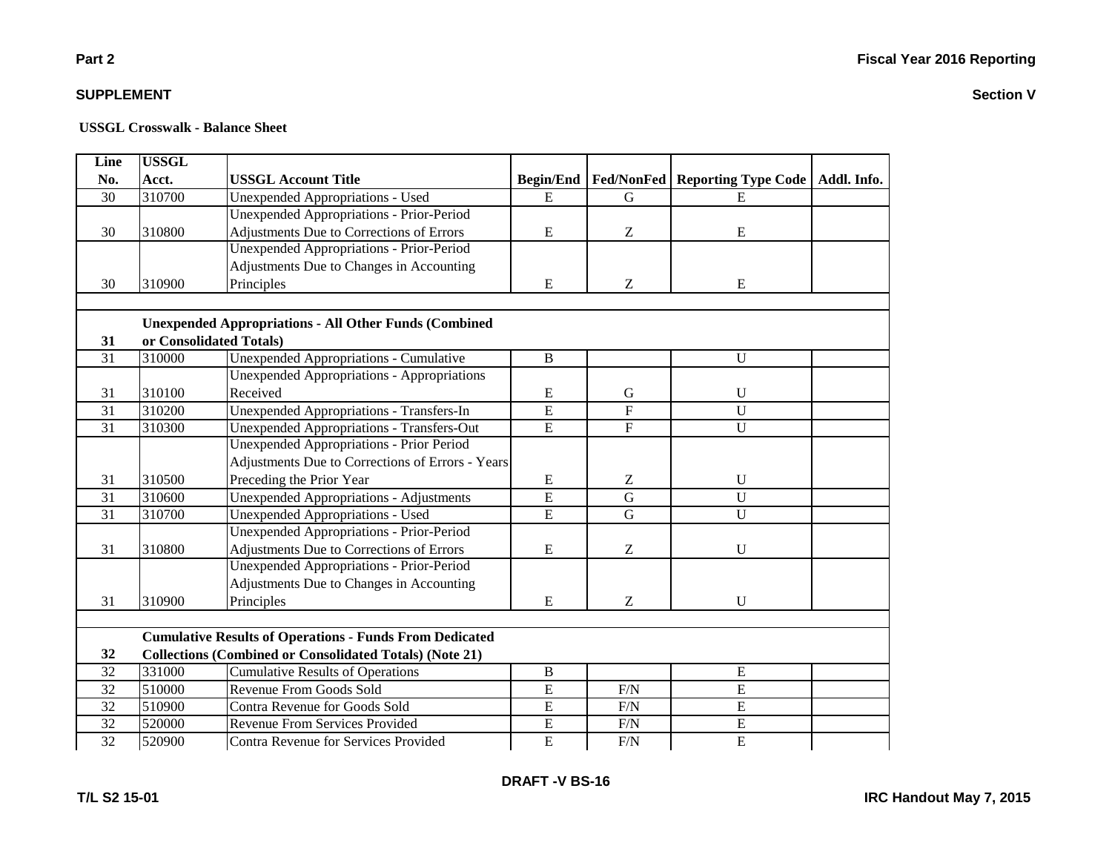**Section V**

# **SUPPLEMENT**

**Part 2**

| Line            | <b>USSGL</b> |                                                                |                  |                   |                            |             |
|-----------------|--------------|----------------------------------------------------------------|------------------|-------------------|----------------------------|-------------|
| No.             | Acct.        | <b>USSGL Account Title</b>                                     | <b>Begin/End</b> | <b>Fed/NonFed</b> | <b>Reporting Type Code</b> | Addl. Info. |
| 30              | 310700       | <b>Unexpended Appropriations - Used</b>                        | E                | G                 | E                          |             |
|                 |              | <b>Unexpended Appropriations - Prior-Period</b>                |                  |                   |                            |             |
| 30              | 310800       | Adjustments Due to Corrections of Errors                       | ${\bf E}$        | Z                 | E                          |             |
|                 |              | <b>Unexpended Appropriations - Prior-Period</b>                |                  |                   |                            |             |
|                 |              | Adjustments Due to Changes in Accounting                       |                  |                   |                            |             |
| 30              | 310900       | Principles                                                     | ${\bf E}$        | Z                 | E                          |             |
|                 |              |                                                                |                  |                   |                            |             |
|                 |              | <b>Unexpended Appropriations - All Other Funds (Combined</b>   |                  |                   |                            |             |
| 31              |              | or Consolidated Totals)                                        |                  |                   |                            |             |
| 31              | 310000       | Unexpended Appropriations - Cumulative                         | B                |                   | $\mathbf U$                |             |
|                 |              | <b>Unexpended Appropriations - Appropriations</b>              |                  |                   |                            |             |
| 31              | 310100       | Received                                                       | E                | G                 | $\mathbf U$                |             |
| 31              | 310200       | <b>Unexpended Appropriations - Transfers-In</b>                | $\overline{E}$   | $\mathbf F$       | U                          |             |
| 31              | 310300       | <b>Unexpended Appropriations - Transfers-Out</b>               | E                | $\mathbf F$       | U                          |             |
|                 |              | <b>Unexpended Appropriations - Prior Period</b>                |                  |                   |                            |             |
|                 |              | Adjustments Due to Corrections of Errors - Years               |                  |                   |                            |             |
| 31              | 310500       | Preceding the Prior Year                                       | E                | $\boldsymbol{Z}$  | $\mathbf U$                |             |
| $\overline{31}$ | 310600       | <b>Unexpended Appropriations - Adjustments</b>                 | $\overline{E}$   | $\overline{G}$    | $\overline{U}$             |             |
| $\overline{31}$ | 310700       | <b>Unexpended Appropriations - Used</b>                        | $\overline{E}$   | $\overline{G}$    | $\overline{U}$             |             |
|                 |              | <b>Unexpended Appropriations - Prior-Period</b>                |                  |                   |                            |             |
| 31              | 310800       | Adjustments Due to Corrections of Errors                       | ${\bf E}$        | Z                 | $\mathbf U$                |             |
|                 |              | <b>Unexpended Appropriations - Prior-Period</b>                |                  |                   |                            |             |
|                 |              | Adjustments Due to Changes in Accounting                       |                  |                   |                            |             |
| 31              | 310900       | Principles                                                     | E                | Z                 | $\mathbf U$                |             |
|                 |              |                                                                |                  |                   |                            |             |
|                 |              | <b>Cumulative Results of Operations - Funds From Dedicated</b> |                  |                   |                            |             |
| 32              |              | <b>Collections (Combined or Consolidated Totals) (Note 21)</b> |                  |                   |                            |             |
| 32              | 331000       | <b>Cumulative Results of Operations</b>                        | $\, {\bf B}$     |                   | E                          |             |
| 32              | 510000       | Revenue From Goods Sold                                        | E                | F/N               | E                          |             |
| 32              | 510900       | Contra Revenue for Goods Sold                                  | E                | $\rm F/N$         | E                          |             |
| 32              | 520000       | <b>Revenue From Services Provided</b>                          | $\overline{E}$   | F/N               | $\overline{E}$             |             |
| $\overline{32}$ | 520900       | Contra Revenue for Services Provided                           | $\overline{E}$   | F/N               | $\overline{E}$             |             |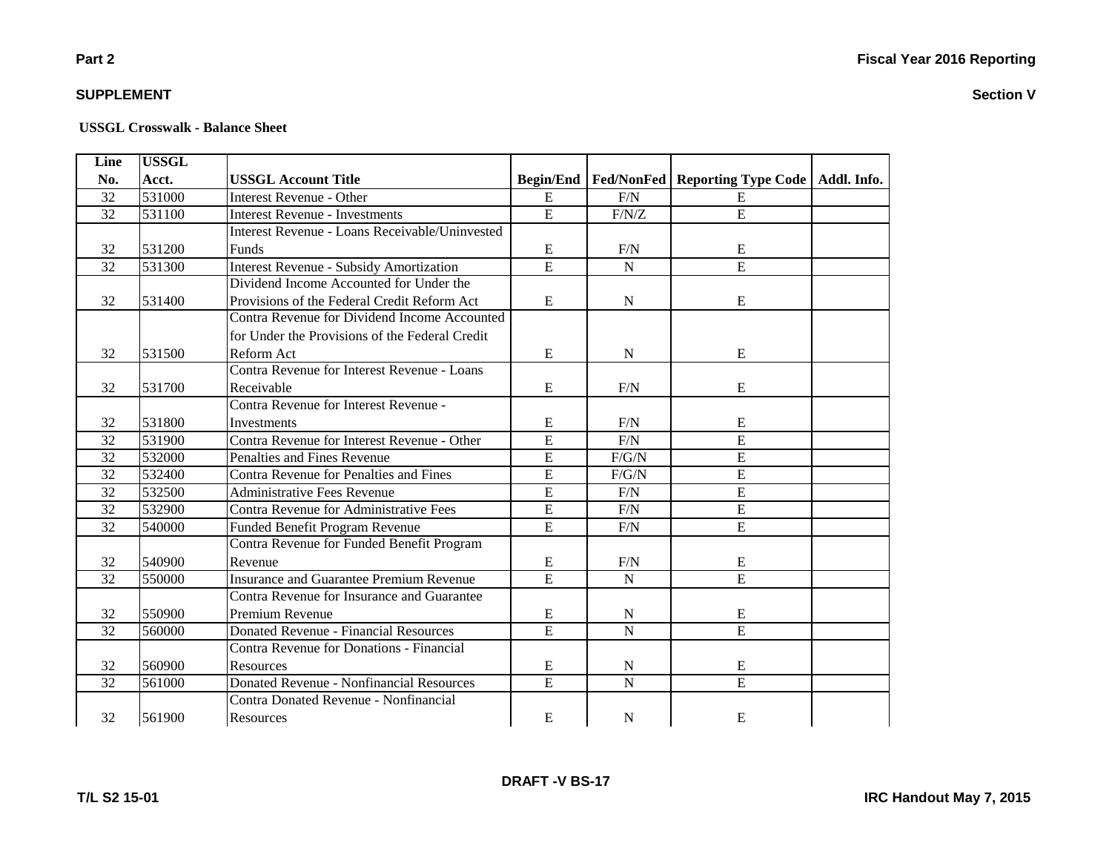**Section V**

### **Part 2**

### **SUPPLEMENT**

| Line | <b>USSGL</b> |                                                       |                  |                |                                                |  |
|------|--------------|-------------------------------------------------------|------------------|----------------|------------------------------------------------|--|
| No.  | Acct.        | <b>USSGL Account Title</b>                            | <b>Begin/End</b> |                | Fed/NonFed   Reporting Type Code   Addl. Info. |  |
| 32   | 531000       | <b>Interest Revenue - Other</b>                       | E                | F/N            | E                                              |  |
| 32   | 531100       | <b>Interest Revenue - Investments</b>                 | $\overline{E}$   | F/N/Z          | $\overline{E}$                                 |  |
|      |              | <b>Interest Revenue - Loans Receivable/Uninvested</b> |                  |                |                                                |  |
| 32   | 531200       | Funds                                                 | E                | F/N            | E                                              |  |
| 32   | 531300       | <b>Interest Revenue - Subsidy Amortization</b>        | $\overline{E}$   | $\mathbf N$    | E                                              |  |
|      |              | Dividend Income Accounted for Under the               |                  |                |                                                |  |
| 32   | 531400       | Provisions of the Federal Credit Reform Act           | E                | $\mathbf N$    | E                                              |  |
|      |              | Contra Revenue for Dividend Income Accounted          |                  |                |                                                |  |
|      |              | for Under the Provisions of the Federal Credit        |                  |                |                                                |  |
| 32   | 531500       | Reform Act                                            | $\mathbf E$      | N              | E                                              |  |
|      |              | Contra Revenue for Interest Revenue - Loans           |                  |                |                                                |  |
| 32   | 531700       | Receivable                                            | E                | F/N            | E                                              |  |
|      |              | Contra Revenue for Interest Revenue -                 |                  |                |                                                |  |
| 32   | 531800       | Investments                                           | E                | F/N            | E                                              |  |
| 32   | 531900       | Contra Revenue for Interest Revenue - Other           | $\overline{E}$   | F/N            | E                                              |  |
| 32   | 532000       | Penalties and Fines Revenue                           | $\overline{E}$   | $F/G/N$        | E                                              |  |
| 32   | 532400       | <b>Contra Revenue for Penalties and Fines</b>         | $\overline{E}$   | $F/G/N$        | $\overline{E}$                                 |  |
| 32   | 532500       | <b>Administrative Fees Revenue</b>                    | $\mathbf E$      | F/N            | $\overline{E}$                                 |  |
| 32   | 532900       | Contra Revenue for Administrative Fees                | $\overline{E}$   | F/N            | ${\bf E}$                                      |  |
| 32   | 540000       | Funded Benefit Program Revenue                        | E                | F/N            | E                                              |  |
|      |              | Contra Revenue for Funded Benefit Program             |                  |                |                                                |  |
| 32   | 540900       | Revenue                                               | E                | F/N            | E                                              |  |
| 32   | 550000       | <b>Insurance and Guarantee Premium Revenue</b>        | $\overline{E}$   | ${\bf N}$      | $\overline{E}$                                 |  |
|      |              | Contra Revenue for Insurance and Guarantee            |                  |                |                                                |  |
| 32   | 550900       | Premium Revenue                                       | $\mathbf E$      | ${\bf N}$      | E                                              |  |
| 32   | 560000       | <b>Donated Revenue - Financial Resources</b>          | $\overline{E}$   | $\mathbf N$    | E                                              |  |
|      |              | <b>Contra Revenue for Donations - Financial</b>       |                  |                |                                                |  |
| 32   | 560900       | <b>Resources</b>                                      | ${\bf E}$        | $\mathbf N$    | E                                              |  |
| 32   | 561000       | <b>Donated Revenue - Nonfinancial Resources</b>       | $\overline{E}$   | $\overline{N}$ | $\overline{E}$                                 |  |
|      |              | <b>Contra Donated Revenue - Nonfinancial</b>          |                  |                |                                                |  |
| 32   | 561900       | Resources                                             | E                | $\mathbf N$    | E                                              |  |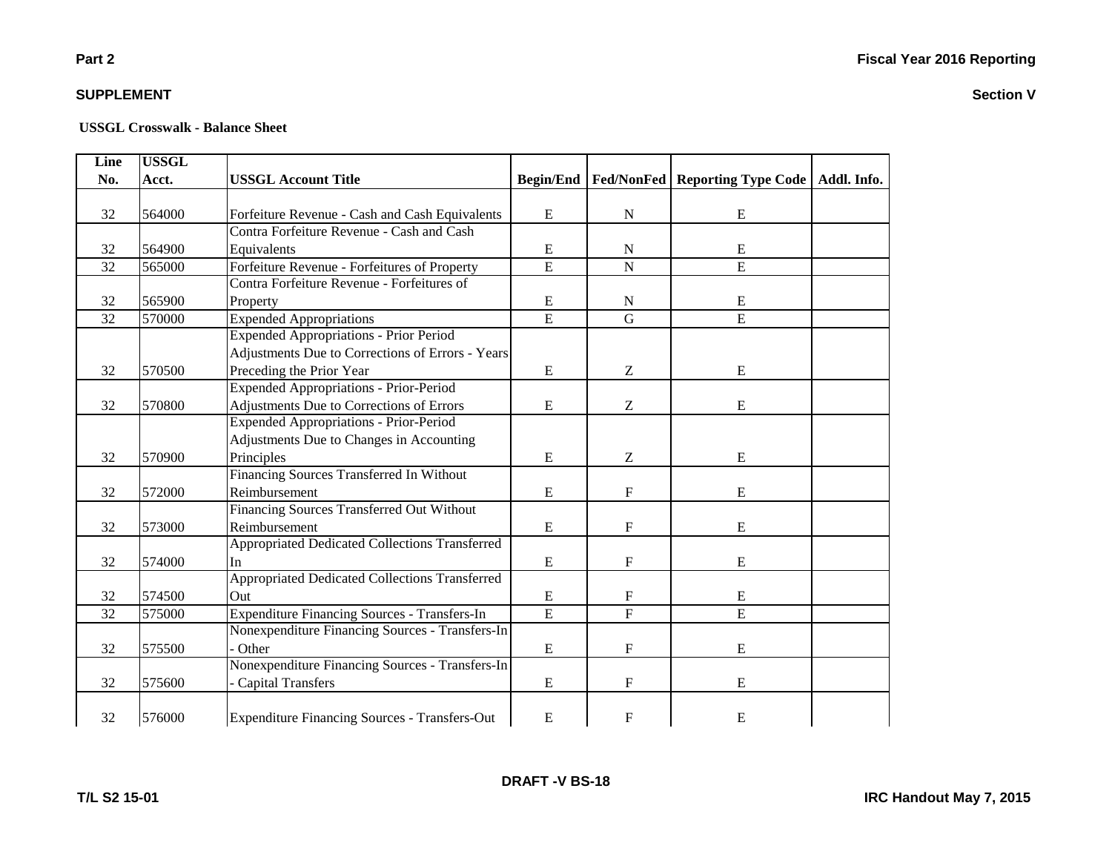#### **USSGL Crosswalk - Balance Sheet**

| Line            | <b>USSGL</b> |                                                      |                  |                           |                                                |  |
|-----------------|--------------|------------------------------------------------------|------------------|---------------------------|------------------------------------------------|--|
| No.             | Acct.        | <b>USSGL Account Title</b>                           | <b>Begin/End</b> |                           | Fed/NonFed   Reporting Type Code   Addl. Info. |  |
|                 |              |                                                      |                  |                           |                                                |  |
| 32              | 564000       | Forfeiture Revenue - Cash and Cash Equivalents       | ${\bf E}$        | $\mathbf N$               | E                                              |  |
|                 |              | Contra Forfeiture Revenue - Cash and Cash            |                  |                           |                                                |  |
| 32              | 564900       | Equivalents                                          | ${\bf E}$        | N                         | ${\bf E}$                                      |  |
| $\overline{32}$ | 565000       | Forfeiture Revenue - Forfeitures of Property         | $\overline{E}$   | $\overline{N}$            | $\overline{E}$                                 |  |
|                 |              | Contra Forfeiture Revenue - Forfeitures of           |                  |                           |                                                |  |
| 32              | 565900       | Property                                             | E                | $\mathbf N$               | E                                              |  |
| 32              | 570000       | <b>Expended Appropriations</b>                       | $\overline{E}$   | $\overline{G}$            | $\overline{E}$                                 |  |
|                 |              | <b>Expended Appropriations - Prior Period</b>        |                  |                           |                                                |  |
|                 |              | Adjustments Due to Corrections of Errors - Years     |                  |                           |                                                |  |
| 32              | 570500       | Preceding the Prior Year                             | E                | Z                         | E                                              |  |
|                 |              | <b>Expended Appropriations - Prior-Period</b>        |                  |                           |                                                |  |
| 32              | 570800       | Adjustments Due to Corrections of Errors             | ${\bf E}$        | Z                         | E                                              |  |
|                 |              | Expended Appropriations - Prior-Period               |                  |                           |                                                |  |
|                 |              | Adjustments Due to Changes in Accounting             |                  |                           |                                                |  |
| 32              | 570900       | Principles                                           | ${\bf E}$        | Z                         | E                                              |  |
|                 |              | Financing Sources Transferred In Without             |                  |                           |                                                |  |
| 32              | 572000       | Reimbursement                                        | ${\bf E}$        | $\mathbf F$               | E                                              |  |
|                 |              | Financing Sources Transferred Out Without            |                  |                           |                                                |  |
| 32              | 573000       | Reimbursement                                        | ${\bf E}$        | $\mathbf F$               | ${\bf E}$                                      |  |
|                 |              | Appropriated Dedicated Collections Transferred       |                  |                           |                                                |  |
| 32              | 574000       | In                                                   | ${\bf E}$        | ${\rm F}$                 | E                                              |  |
|                 |              | Appropriated Dedicated Collections Transferred       |                  |                           |                                                |  |
| 32              | 574500       | Out                                                  | ${\bf E}$        | F                         | ${\bf E}$                                      |  |
| 32              | 575000       | Expenditure Financing Sources - Transfers-In         | $\overline{E}$   | $\overline{F}$            | $\overline{E}$                                 |  |
|                 |              | Nonexpenditure Financing Sources - Transfers-In      |                  |                           |                                                |  |
| 32              | 575500       | Other                                                | ${\bf E}$        | $\mathbf F$               | E                                              |  |
|                 |              | Nonexpenditure Financing Sources - Transfers-In      |                  |                           |                                                |  |
| 32              | 575600       | <b>Capital Transfers</b>                             | ${\bf E}$        | $\boldsymbol{\mathrm{F}}$ | E                                              |  |
|                 |              |                                                      |                  |                           |                                                |  |
| 32              | 576000       | <b>Expenditure Financing Sources - Transfers-Out</b> | ${\bf E}$        | F                         | E                                              |  |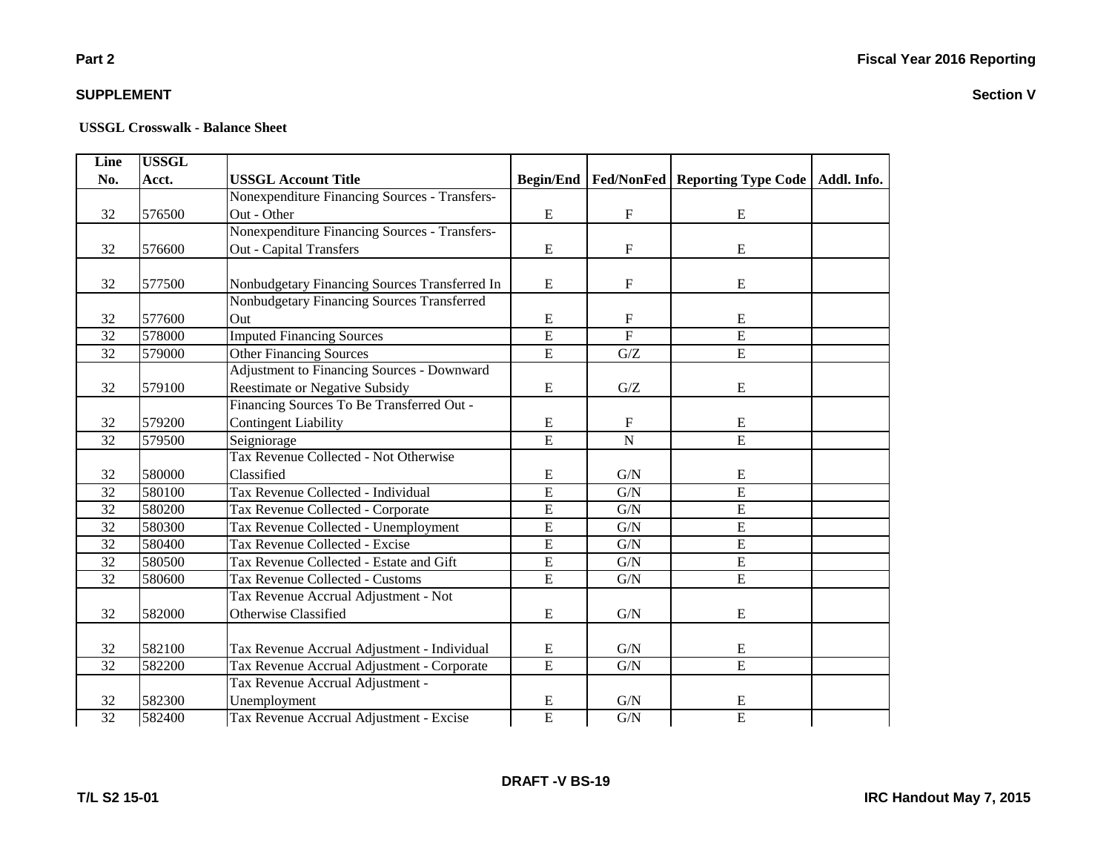### **Part 2**

### **SUPPLEMENT**

| Line            | <b>USSGL</b> |                                                   |                  |                           |                                  |             |
|-----------------|--------------|---------------------------------------------------|------------------|---------------------------|----------------------------------|-------------|
| No.             | Acct.        | <b>USSGL Account Title</b>                        | <b>Begin/End</b> |                           | Fed/NonFed   Reporting Type Code | Addl. Info. |
|                 |              | Nonexpenditure Financing Sources - Transfers-     |                  |                           |                                  |             |
| 32              | 576500       | Out - Other                                       | E                | $\mathbf F$               | E                                |             |
|                 |              | Nonexpenditure Financing Sources - Transfers-     |                  |                           |                                  |             |
| 32              | 576600       | <b>Out - Capital Transfers</b>                    | $\mathbf E$      | $\mathbf F$               | ${\bf E}$                        |             |
|                 |              |                                                   |                  |                           |                                  |             |
| 32              | 577500       | Nonbudgetary Financing Sources Transferred In     | E                | $\mathbf F$               | E                                |             |
|                 |              | Nonbudgetary Financing Sources Transferred        |                  |                           |                                  |             |
| 32              | 577600       | Out                                               | E                | $\mathbf F$               | ${\bf E}$                        |             |
| 32              | 578000       | <b>Imputed Financing Sources</b>                  | $\overline{E}$   | $\overline{F}$            | $\overline{E}$                   |             |
| 32              | 579000       | <b>Other Financing Sources</b>                    | $\mathbf E$      | G/Z                       | ${\bf E}$                        |             |
|                 |              | <b>Adjustment to Financing Sources - Downward</b> |                  |                           |                                  |             |
| 32              | 579100       | <b>Reestimate or Negative Subsidy</b>             | $\mathbf E$      | ${\mathbf G}/{\mathbf Z}$ | E                                |             |
|                 |              | Financing Sources To Be Transferred Out -         |                  |                           |                                  |             |
| 32              | 579200       | <b>Contingent Liability</b>                       | $\mathbf E$      | $\mathbf F$               | E                                |             |
| 32              | 579500       | Seigniorage                                       | $\overline{E}$   | ${\bf N}$                 | $\overline{E}$                   |             |
|                 |              | Tax Revenue Collected - Not Otherwise             |                  |                           |                                  |             |
| 32              | 580000       | Classified                                        | E                | G/N                       | E                                |             |
| 32              | 580100       | Tax Revenue Collected - Individual                | $\mathbf E$      | G/N                       | $\overline{E}$                   |             |
| 32              | 580200       | Tax Revenue Collected - Corporate                 | $\overline{E}$   | G/N                       | $\overline{E}$                   |             |
| 32              | 580300       | Tax Revenue Collected - Unemployment              | $\overline{E}$   | G/N                       | E                                |             |
| 32              | 580400       | Tax Revenue Collected - Excise                    | E                | G/N                       | $\overline{E}$                   |             |
| 32              | 580500       | Tax Revenue Collected - Estate and Gift           | $\overline{E}$   | G/N                       | E                                |             |
| 32              | 580600       | Tax Revenue Collected - Customs                   | $\overline{E}$   | G/N                       | $\overline{E}$                   |             |
|                 |              | Tax Revenue Accrual Adjustment - Not              |                  |                           |                                  |             |
| 32              | 582000       | Otherwise Classified                              | $\mathbf E$      | G/N                       | E                                |             |
|                 |              |                                                   |                  |                           |                                  |             |
| 32              | 582100       | Tax Revenue Accrual Adjustment - Individual       | E                | G/N                       | ${\bf E}$                        |             |
| 32              | 582200       | Tax Revenue Accrual Adjustment - Corporate        | $\overline{E}$   | G/N                       | $\overline{E}$                   |             |
|                 |              | Tax Revenue Accrual Adjustment -                  |                  |                           |                                  |             |
| 32              | 582300       | Unemployment                                      | E                | G/N                       | E                                |             |
| $\overline{32}$ | 582400       | Tax Revenue Accrual Adjustment - Excise           | $\overline{E}$   | $\overline{G/N}$          | $\overline{E}$                   |             |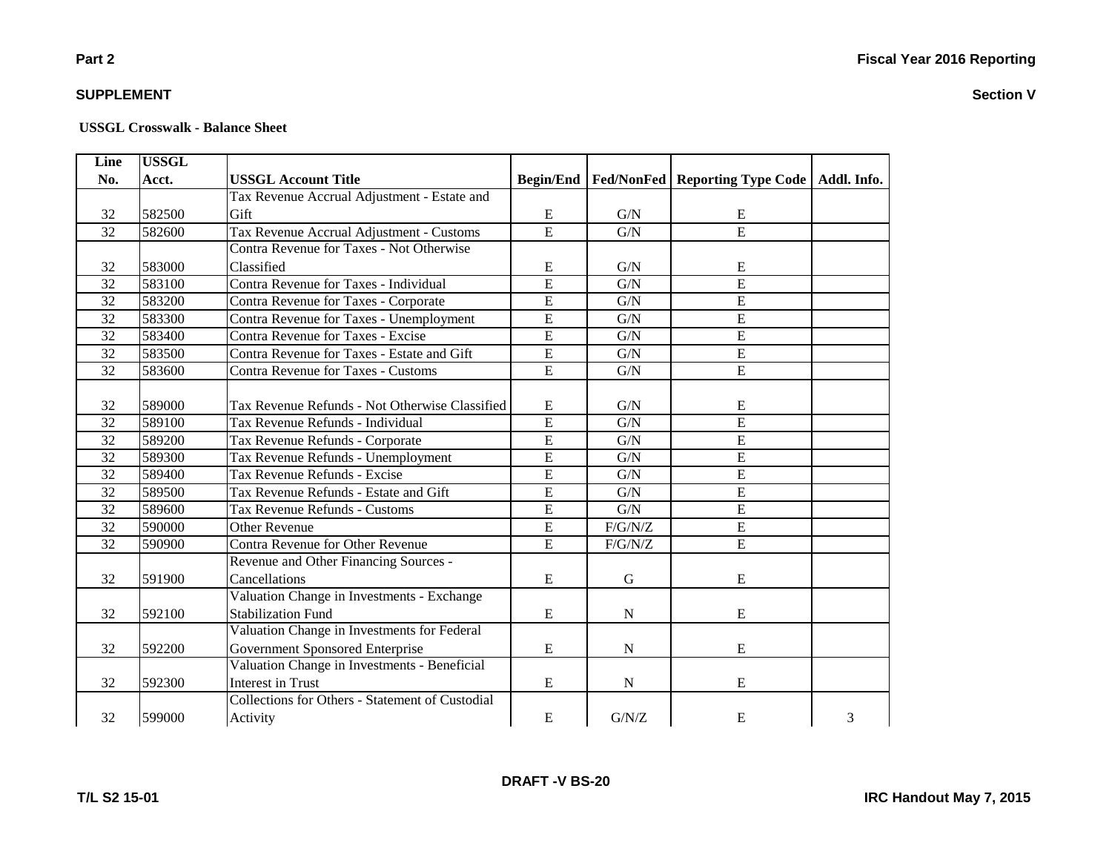### **Part 2**

### **SUPPLEMENT**

#### **USSGL Crosswalk - Balance Sheet**

| Line            | <b>USSGL</b> |                                                        |                |             |                                                            |   |
|-----------------|--------------|--------------------------------------------------------|----------------|-------------|------------------------------------------------------------|---|
| No.             | Acct.        | <b>USSGL Account Title</b>                             |                |             | Begin/End   Fed/NonFed   Reporting Type Code   Addl. Info. |   |
|                 |              | Tax Revenue Accrual Adjustment - Estate and            |                |             |                                                            |   |
| 32              | 582500       | Gift                                                   | E              | G/N         | E                                                          |   |
| 32              | 582600       | Tax Revenue Accrual Adjustment - Customs               | $\overline{E}$ | G/N         | $\overline{E}$                                             |   |
|                 |              | <b>Contra Revenue for Taxes - Not Otherwise</b>        |                |             |                                                            |   |
| 32              | 583000       | Classified                                             | E              | G/N         | E                                                          |   |
| 32              | 583100       | Contra Revenue for Taxes - Individual                  | $\overline{E}$ | G/N         | E                                                          |   |
| 32              | 583200       | Contra Revenue for Taxes - Corporate                   | $\overline{E}$ | G/N         | $\overline{E}$                                             |   |
| $\overline{32}$ | 583300       | Contra Revenue for Taxes - Unemployment                | $\overline{E}$ | G/N         | $\overline{E}$                                             |   |
| 32              | 583400       | Contra Revenue for Taxes - Excise                      | $\overline{E}$ | G/N         | $\overline{E}$                                             |   |
| 32              | 583500       | Contra Revenue for Taxes - Estate and Gift             | $\overline{E}$ | G/N         | $\overline{E}$                                             |   |
| 32              | 583600       | <b>Contra Revenue for Taxes - Customs</b>              | $\overline{E}$ | G/N         | $\overline{E}$                                             |   |
|                 |              |                                                        |                |             |                                                            |   |
| 32              | 589000       | Tax Revenue Refunds - Not Otherwise Classified         | E              | G/N         | E                                                          |   |
| 32              | 589100       | Tax Revenue Refunds - Individual                       | $\overline{E}$ | G/N         | E                                                          |   |
| 32              | 589200       | Tax Revenue Refunds - Corporate                        | E              | G/N         | E                                                          |   |
| 32              | 589300       | Tax Revenue Refunds - Unemployment                     | E              | G/N         | E                                                          |   |
| 32              | 589400       | Tax Revenue Refunds - Excise                           | $\overline{E}$ | G/N         | $\overline{E}$                                             |   |
| 32              | 589500       | Tax Revenue Refunds - Estate and Gift                  | $\overline{E}$ | G/N         | $\overline{E}$                                             |   |
| 32              | 589600       | Tax Revenue Refunds - Customs                          | $\overline{E}$ | G/N         | E                                                          |   |
| $\overline{32}$ | 590000       | Other Revenue                                          | $\overline{E}$ | $F/G/N/Z$   | E                                                          |   |
| 32              | 590900       | Contra Revenue for Other Revenue                       | $\overline{E}$ | $F/G/N/Z$   | $\overline{E}$                                             |   |
|                 |              | Revenue and Other Financing Sources -                  |                |             |                                                            |   |
| 32              | 591900       | Cancellations                                          | E              | $\mathbf G$ | E                                                          |   |
|                 |              | Valuation Change in Investments - Exchange             |                |             |                                                            |   |
| 32              | 592100       | <b>Stabilization Fund</b>                              | ${\bf E}$      | $\mathbf N$ | E                                                          |   |
|                 |              | Valuation Change in Investments for Federal            |                |             |                                                            |   |
| 32              | 592200       | Government Sponsored Enterprise                        | $\mathbf E$    | ${\bf N}$   | E                                                          |   |
|                 |              | Valuation Change in Investments - Beneficial           |                |             |                                                            |   |
| 32              | 592300       | <b>Interest in Trust</b>                               | E              | $\mathbf N$ | E                                                          |   |
|                 |              | <b>Collections for Others - Statement of Custodial</b> |                |             |                                                            |   |
| 32              | 599000       | Activity                                               | E              | G/N/Z       | E                                                          | 3 |

**DRAFT -V BS-20**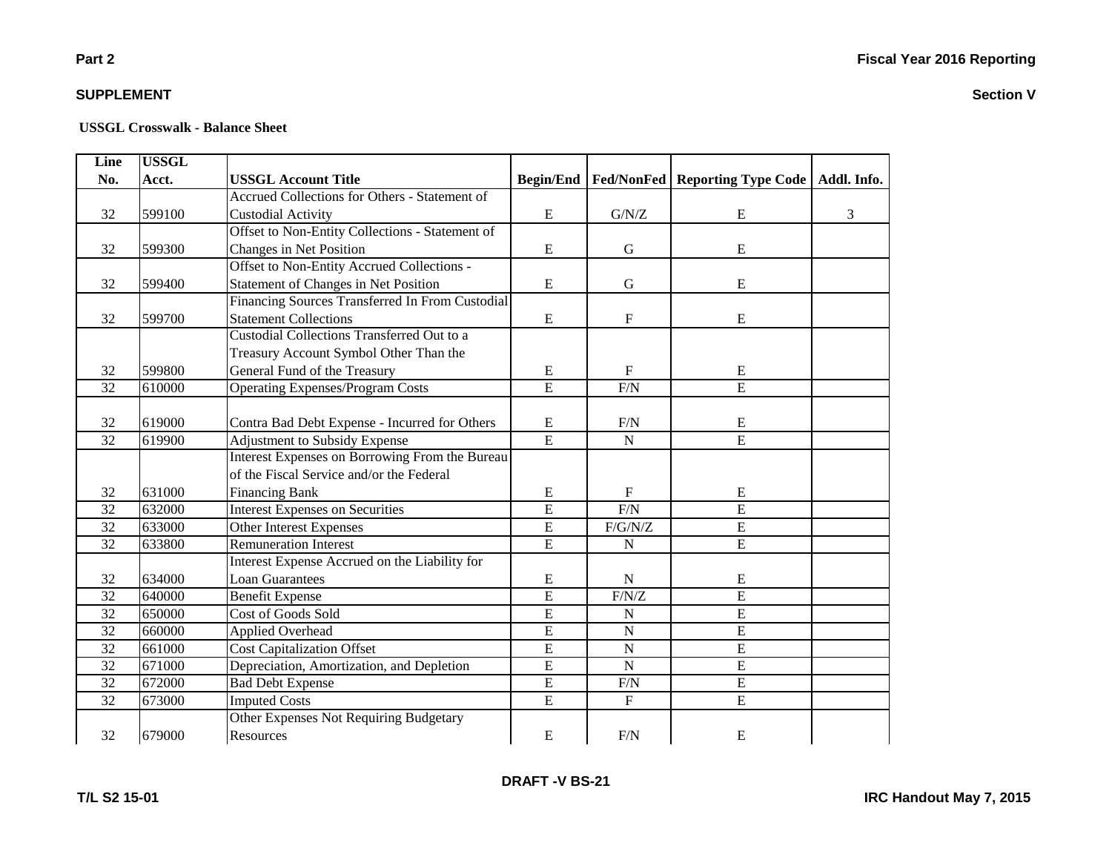**Section V**

### **SUPPLEMENT**

| Line | <b>USSGL</b> |                                                 |                  |                   |                            |             |
|------|--------------|-------------------------------------------------|------------------|-------------------|----------------------------|-------------|
| No.  | Acct.        | <b>USSGL Account Title</b>                      | <b>Begin/End</b> | <b>Fed/NonFed</b> | <b>Reporting Type Code</b> | Addl. Info. |
|      |              | Accrued Collections for Others - Statement of   |                  |                   |                            |             |
| 32   | 599100       | <b>Custodial Activity</b>                       | E                | G/N/Z             | E                          | 3           |
|      |              | Offset to Non-Entity Collections - Statement of |                  |                   |                            |             |
| 32   | 599300       | Changes in Net Position                         | E                | $\mathbf G$       | E                          |             |
|      |              | Offset to Non-Entity Accrued Collections -      |                  |                   |                            |             |
| 32   | 599400       | Statement of Changes in Net Position            | E                | $\mathbf G$       | E                          |             |
|      |              | Financing Sources Transferred In From Custodial |                  |                   |                            |             |
| 32   | 599700       | <b>Statement Collections</b>                    | ${\bf E}$        | ${\bf F}$         | ${\bf E}$                  |             |
|      |              | Custodial Collections Transferred Out to a      |                  |                   |                            |             |
|      |              | Treasury Account Symbol Other Than the          |                  |                   |                            |             |
| 32   | 599800       | General Fund of the Treasury                    | E                | $\mathbf F$       | E                          |             |
| 32   | 610000       | <b>Operating Expenses/Program Costs</b>         | $\overline{E}$   | F/N               | $\overline{E}$             |             |
|      |              |                                                 |                  |                   |                            |             |
| 32   | 619000       | Contra Bad Debt Expense - Incurred for Others   | ${\bf E}$        | F/N               | E                          |             |
| 32   | 619900       | Adjustment to Subsidy Expense                   | $\overline{E}$   | ${\bf N}$         | $\overline{E}$             |             |
|      |              | Interest Expenses on Borrowing From the Bureau  |                  |                   |                            |             |
|      |              | of the Fiscal Service and/or the Federal        |                  |                   |                            |             |
| 32   | 631000       | <b>Financing Bank</b>                           | ${\bf E}$        | $\mathbf{F}$      | ${\bf E}$                  |             |
| 32   | 632000       | <b>Interest Expenses on Securities</b>          | $\overline{E}$   | F/N               | E                          |             |
| 32   | 633000       | <b>Other Interest Expenses</b>                  | $\overline{E}$   | $F/G/N/Z$         | $\overline{E}$             |             |
| 32   | 633800       | <b>Remuneration Interest</b>                    | $\overline{E}$   | ${\bf N}$         | E                          |             |
|      |              | Interest Expense Accrued on the Liability for   |                  |                   |                            |             |
| 32   | 634000       | <b>Loan Guarantees</b>                          | E                | ${\bf N}$         | E                          |             |
| 32   | 640000       | <b>Benefit Expense</b>                          | $\overline{E}$   | F/N/Z             | E                          |             |
| 32   | 650000       | Cost of Goods Sold                              | $\overline{E}$   | ${\bf N}$         | $\overline{E}$             |             |
| 32   | 660000       | Applied Overhead                                | $\overline{E}$   | ${\bf N}$         | $\overline{E}$             |             |
| 32   | 661000       | <b>Cost Capitalization Offset</b>               | E                | $\mathbf N$       | E                          |             |
| 32   | 671000       | Depreciation, Amortization, and Depletion       | $\overline{E}$   | ${\bf N}$         | E                          |             |
| 32   | 672000       | <b>Bad Debt Expense</b>                         | $\overline{E}$   | F/N               | E                          |             |
| 32   | 673000       | <b>Imputed Costs</b>                            | $\overline{E}$   | $\mathbf F$       | E                          |             |
|      |              | Other Expenses Not Requiring Budgetary          |                  |                   |                            |             |
| 32   | 679000       | Resources                                       | ${\bf E}$        | F/N               | E                          |             |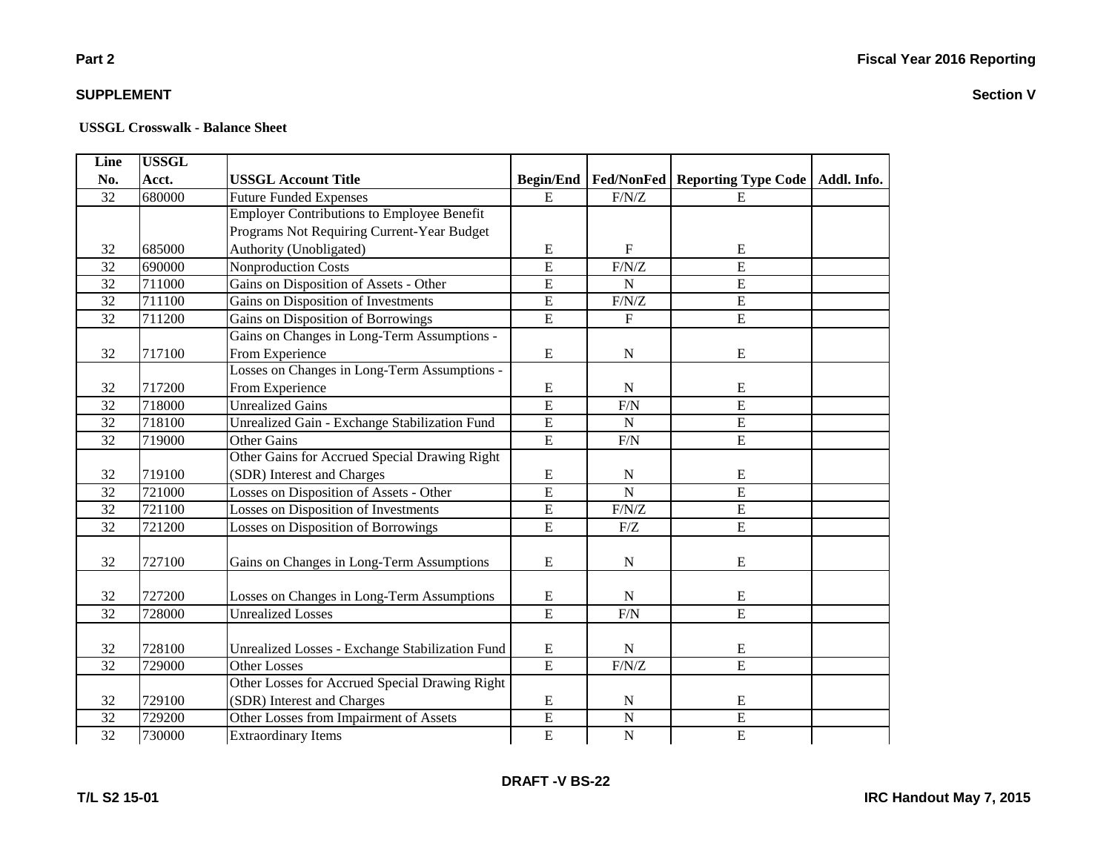### **Part 2**

### **SUPPLEMENT**

| <b>Line</b>     | <b>USSGL</b> |                                                   |                         |                         |                                   |  |
|-----------------|--------------|---------------------------------------------------|-------------------------|-------------------------|-----------------------------------|--|
| No.             | Acct.        | <b>USSGL Account Title</b>                        | <b>Begin/End</b>        | Fed/NonFed              | Reporting Type Code   Addl. Info. |  |
| 32              | 680000       | <b>Future Funded Expenses</b>                     | E                       | $\rm F/N/Z$             | E                                 |  |
|                 |              | <b>Employer Contributions to Employee Benefit</b> |                         |                         |                                   |  |
|                 |              | Programs Not Requiring Current-Year Budget        |                         |                         |                                   |  |
| 32              | 685000       | Authority (Unobligated)                           | E                       | F                       | E                                 |  |
| 32              | 690000       | Nonproduction Costs                               | $\overline{E}$          | F/N/Z                   | $\overline{E}$                    |  |
| 32              | 711000       | Gains on Disposition of Assets - Other            | E                       | $\overline{N}$          | $\overline{E}$                    |  |
| 32              | 711100       | Gains on Disposition of Investments               | $\overline{E}$          | F/N/Z                   | $\overline{E}$                    |  |
| $\overline{32}$ | 711200       | Gains on Disposition of Borrowings                | $\overline{E}$          | $\overline{\mathrm{F}}$ | $\overline{E}$                    |  |
|                 |              | Gains on Changes in Long-Term Assumptions -       |                         |                         |                                   |  |
| 32              | 717100       | From Experience                                   | E                       | ${\bf N}$               | E                                 |  |
|                 |              | Losses on Changes in Long-Term Assumptions -      |                         |                         |                                   |  |
| 32              | 717200       | From Experience                                   | ${\bf E}$               | N                       | E                                 |  |
| 32              | 718000       | <b>Unrealized Gains</b>                           | $\overline{E}$          | F/N                     | $\overline{E}$                    |  |
| 32              | 718100       | Unrealized Gain - Exchange Stabilization Fund     | $\overline{E}$          | $\mathbf N$             | $\overline{E}$                    |  |
| 32              | 719000       | <b>Other Gains</b>                                | $\overline{E}$          | F/N                     | $\overline{E}$                    |  |
|                 |              | Other Gains for Accrued Special Drawing Right     |                         |                         |                                   |  |
| 32              | 719100       | (SDR) Interest and Charges                        | ${\bf E}$               | ${\bf N}$               | ${\bf E}$                         |  |
| 32              | 721000       | Losses on Disposition of Assets - Other           | E                       | $\overline{N}$          | $\overline{E}$                    |  |
| 32              | 721100       | Losses on Disposition of Investments              | $\overline{E}$          | F/N/Z                   | $\overline{E}$                    |  |
| 32              | 721200       | Losses on Disposition of Borrowings               | $\overline{\mathrm{E}}$ | F/Z                     | $\overline{E}$                    |  |
|                 |              |                                                   |                         |                         |                                   |  |
| 32              | 727100       | Gains on Changes in Long-Term Assumptions         | ${\bf E}$               | ${\bf N}$               | ${\bf E}$                         |  |
|                 |              |                                                   |                         |                         |                                   |  |
| 32              | 727200       | Losses on Changes in Long-Term Assumptions        | E                       | $\mathbf N$             | E                                 |  |
| 32              | 728000       | <b>Unrealized Losses</b>                          | $\overline{E}$          | F/N                     | $\overline{E}$                    |  |
|                 |              |                                                   |                         |                         |                                   |  |
| 32              | 728100       | Unrealized Losses - Exchange Stabilization Fund   | ${\bf E}$               | ${\bf N}$               | ${\bf E}$                         |  |
| 32              | 729000       | <b>Other Losses</b>                               | E                       | F/N/Z                   | $\overline{E}$                    |  |
|                 |              | Other Losses for Accrued Special Drawing Right    |                         |                         |                                   |  |
| 32              | 729100       | (SDR) Interest and Charges                        | E                       | ${\bf N}$               | E                                 |  |
| 32              | 729200       | Other Losses from Impairment of Assets            | E                       | ${\bf N}$               | ${\bf E}$                         |  |
| $\overline{32}$ | 730000       | <b>Extraordinary Items</b>                        | $\overline{E}$          | $\overline{N}$          | $\overline{E}$                    |  |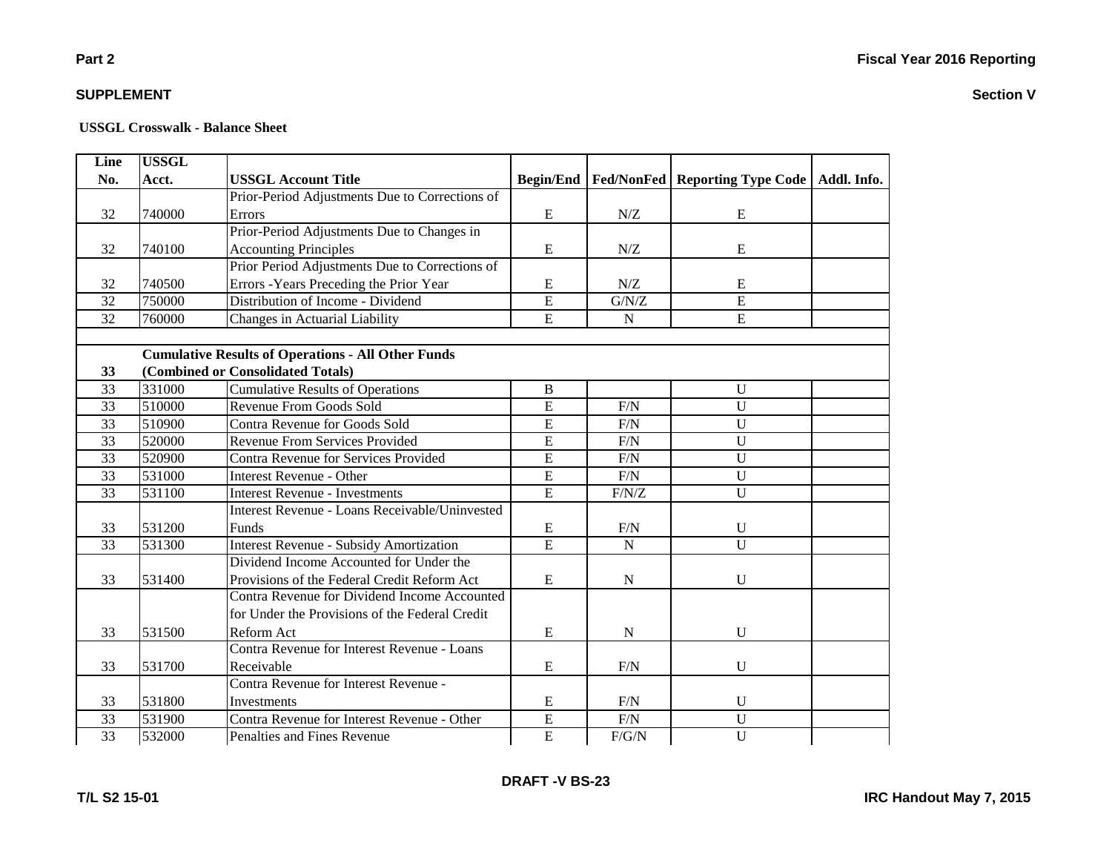| Line            | <b>USSGL</b> |                                                           |                  |             |                                           |             |
|-----------------|--------------|-----------------------------------------------------------|------------------|-------------|-------------------------------------------|-------------|
| No.             | Acct.        | <b>USSGL Account Title</b>                                | <b>Begin/End</b> |             | <b>Fed/NonFed   Reporting Type Code  </b> | Addl. Info. |
|                 |              | Prior-Period Adjustments Due to Corrections of            |                  |             |                                           |             |
| 32              | 740000       | Errors                                                    | ${\bf E}$        | N/Z         | ${\bf E}$                                 |             |
|                 |              | Prior-Period Adjustments Due to Changes in                |                  |             |                                           |             |
| 32              | 740100       | <b>Accounting Principles</b>                              | ${\bf E}$        | N/Z         | E                                         |             |
|                 |              | Prior Period Adjustments Due to Corrections of            |                  |             |                                           |             |
| 32              | 740500       | Errors - Years Preceding the Prior Year                   | ${\bf E}$        | N/Z         | E                                         |             |
| $\overline{32}$ | 750000       | Distribution of Income - Dividend                         | $\overline{E}$   | G/N/Z       | $\overline{E}$                            |             |
| $\overline{32}$ | 760000       | Changes in Actuarial Liability                            | $\overline{E}$   | ${\bf N}$   | $\overline{E}$                            |             |
|                 |              |                                                           |                  |             |                                           |             |
|                 |              | <b>Cumulative Results of Operations - All Other Funds</b> |                  |             |                                           |             |
| 33              |              | (Combined or Consolidated Totals)                         |                  |             |                                           |             |
| 33              | 331000       | <b>Cumulative Results of Operations</b>                   | $\, {\bf B}$     |             | U                                         |             |
| 33              | 510000       | Revenue From Goods Sold                                   | E                | F/N         | ${\bf U}$                                 |             |
| $\overline{33}$ | 510900       | Contra Revenue for Goods Sold                             | $\overline{E}$   | F/N         | $\mathbf U$                               |             |
| 33              | 520000       | Revenue From Services Provided                            | $\overline{E}$   | F/N         | $\overline{U}$                            |             |
| 33              | 520900       | Contra Revenue for Services Provided                      | E                | F/N         | $\mathbf U$                               |             |
| 33              | 531000       | <b>Interest Revenue - Other</b>                           | $\overline{E}$   | F/N         | $\overline{U}$                            |             |
| 33              | 531100       | <b>Interest Revenue - Investments</b>                     | $\overline{E}$   | F/N/Z       | $\overline{U}$                            |             |
|                 |              | Interest Revenue - Loans Receivable/Uninvested            |                  |             |                                           |             |
| 33              | 531200       | <b>Funds</b>                                              | ${\bf E}$        | F/N         | $\mathbf U$                               |             |
| 33              | 531300       | <b>Interest Revenue - Subsidy Amortization</b>            | $\overline{E}$   | ${\bf N}$   | $\overline{U}$                            |             |
|                 |              | Dividend Income Accounted for Under the                   |                  |             |                                           |             |
| 33              | 531400       | Provisions of the Federal Credit Reform Act               | E                | ${\bf N}$   | $\mathbf U$                               |             |
|                 |              | Contra Revenue for Dividend Income Accounted              |                  |             |                                           |             |
|                 |              | for Under the Provisions of the Federal Credit            |                  |             |                                           |             |
| 33              | 531500       | Reform Act                                                | ${\bf E}$        | $\mathbf N$ | U                                         |             |
|                 |              | Contra Revenue for Interest Revenue - Loans               |                  |             |                                           |             |
| 33              | 531700       | Receivable                                                | ${\bf E}$        | F/N         | $\mathbf U$                               |             |
|                 |              | Contra Revenue for Interest Revenue -                     |                  |             |                                           |             |
| 33              | 531800       | Investments                                               | ${\bf E}$        | F/N         | $\mathbf U$                               |             |
| $\overline{33}$ | 531900       | Contra Revenue for Interest Revenue - Other               | $\overline{E}$   | F/N         | $\overline{U}$                            |             |
| $\overline{33}$ | 532000       | Penalties and Fines Revenue                               | $\overline{E}$   | F/G/N       | $\overline{U}$                            |             |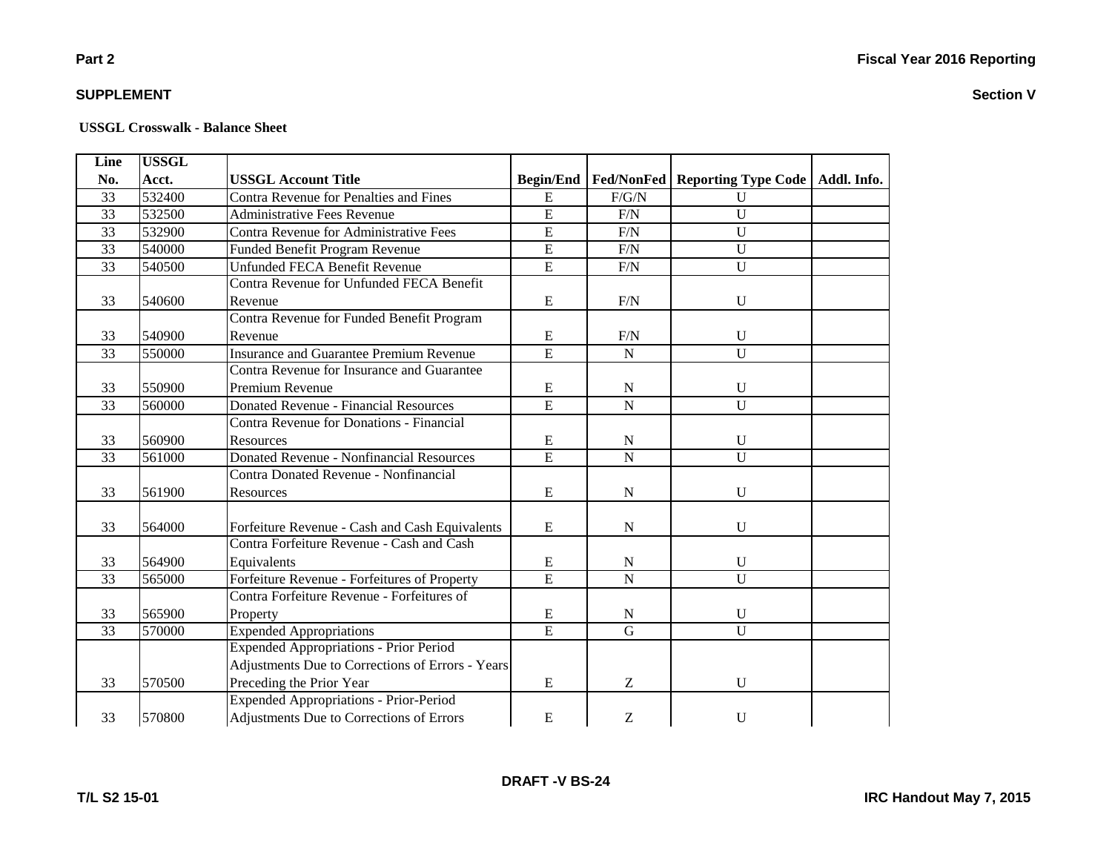### **Part 2**

### **SUPPLEMENT**

#### **USSGL Crosswalk - Balance Sheet**

| Line            | <b>USSGL</b> |                                                  |                  |                                                       |                                   |  |
|-----------------|--------------|--------------------------------------------------|------------------|-------------------------------------------------------|-----------------------------------|--|
| No.             | Acct.        | <b>USSGL Account Title</b>                       | <b>Begin/End</b> | <b>Fed/NonFed</b>                                     | Reporting Type Code   Addl. Info. |  |
| 33              | 532400       | <b>Contra Revenue for Penalties and Fines</b>    | ${\bf E}$        | F/G/N                                                 | U                                 |  |
| 33              | 532500       | <b>Administrative Fees Revenue</b>               | $\overline{E}$   | $\rm F/N$                                             | $\mathbf U$                       |  |
| 33              | 532900       | Contra Revenue for Administrative Fees           | $\overline{E}$   | F/N                                                   | $\mathbf U$                       |  |
| $\overline{33}$ | 540000       | Funded Benefit Program Revenue                   | $\overline{E}$   | F/N                                                   | U                                 |  |
| 33              | 540500       | <b>Unfunded FECA Benefit Revenue</b>             | $\overline{E}$   | F/N                                                   | $\overline{U}$                    |  |
|                 |              | Contra Revenue for Unfunded FECA Benefit         |                  |                                                       |                                   |  |
| 33              | 540600       | Revenue                                          | E                | F/N                                                   | U                                 |  |
|                 |              | Contra Revenue for Funded Benefit Program        |                  |                                                       |                                   |  |
| 33              | 540900       | Revenue                                          | E                | F/N                                                   | U                                 |  |
| 33              | 550000       | Insurance and Guarantee Premium Revenue          | $\overline{E}$   | $\mathbf N$                                           | $\overline{U}$                    |  |
|                 |              | Contra Revenue for Insurance and Guarantee       |                  |                                                       |                                   |  |
| 33              | 550900       | Premium Revenue                                  | ${\bf E}$        | ${\bf N}$                                             | U                                 |  |
| 33              | 560000       | <b>Donated Revenue - Financial Resources</b>     | ${\bf E}$        | $\mathbf N$                                           | U                                 |  |
|                 |              | Contra Revenue for Donations - Financial         |                  |                                                       |                                   |  |
| 33              | 560900       | Resources                                        | ${\bf E}$        | ${\bf N}$                                             | $\mathbf{U}$                      |  |
| 33              | 561000       | Donated Revenue - Nonfinancial Resources         | $\overline{E}$   | $\mathbf N$                                           | $\mathbf{U}$                      |  |
|                 |              | Contra Donated Revenue - Nonfinancial            |                  |                                                       |                                   |  |
| 33              | 561900       | Resources                                        | E                | ${\bf N}$                                             | $\mathbf U$                       |  |
|                 |              |                                                  |                  |                                                       |                                   |  |
| 33              | 564000       | Forfeiture Revenue - Cash and Cash Equivalents   | E                | $\mathbf N$                                           | $\mathbf U$                       |  |
|                 |              | Contra Forfeiture Revenue - Cash and Cash        |                  |                                                       |                                   |  |
| 33              | 564900       | Equivalents                                      | ${\bf E}$        | $\mathbf N$                                           | $\mathbf U$                       |  |
| 33              | 565000       | Forfeiture Revenue - Forfeitures of Property     | $\overline{E}$   | ${\bf N}$                                             | $\mathbf U$                       |  |
|                 |              | Contra Forfeiture Revenue - Forfeitures of       |                  |                                                       |                                   |  |
| 33              | 565900       | Property                                         | ${\bf E}$        | ${\bf N}$                                             | U                                 |  |
| 33              | 570000       | <b>Expended Appropriations</b>                   | $\overline{E}$   | $\mathbf G$                                           | U                                 |  |
|                 |              | Expended Appropriations - Prior Period           |                  |                                                       |                                   |  |
|                 |              | Adjustments Due to Corrections of Errors - Years |                  |                                                       |                                   |  |
| 33              | 570500       | Preceding the Prior Year                         | E                | Z                                                     | $\mathbf{U}$                      |  |
|                 |              | Expended Appropriations - Prior-Period           |                  |                                                       |                                   |  |
| 33              | 570800       | Adjustments Due to Corrections of Errors         | ${\bf E}$        | $\mathbf{Z}% ^{T}=\mathbf{Z}^{T}\times\mathbf{Z}^{T}$ | U                                 |  |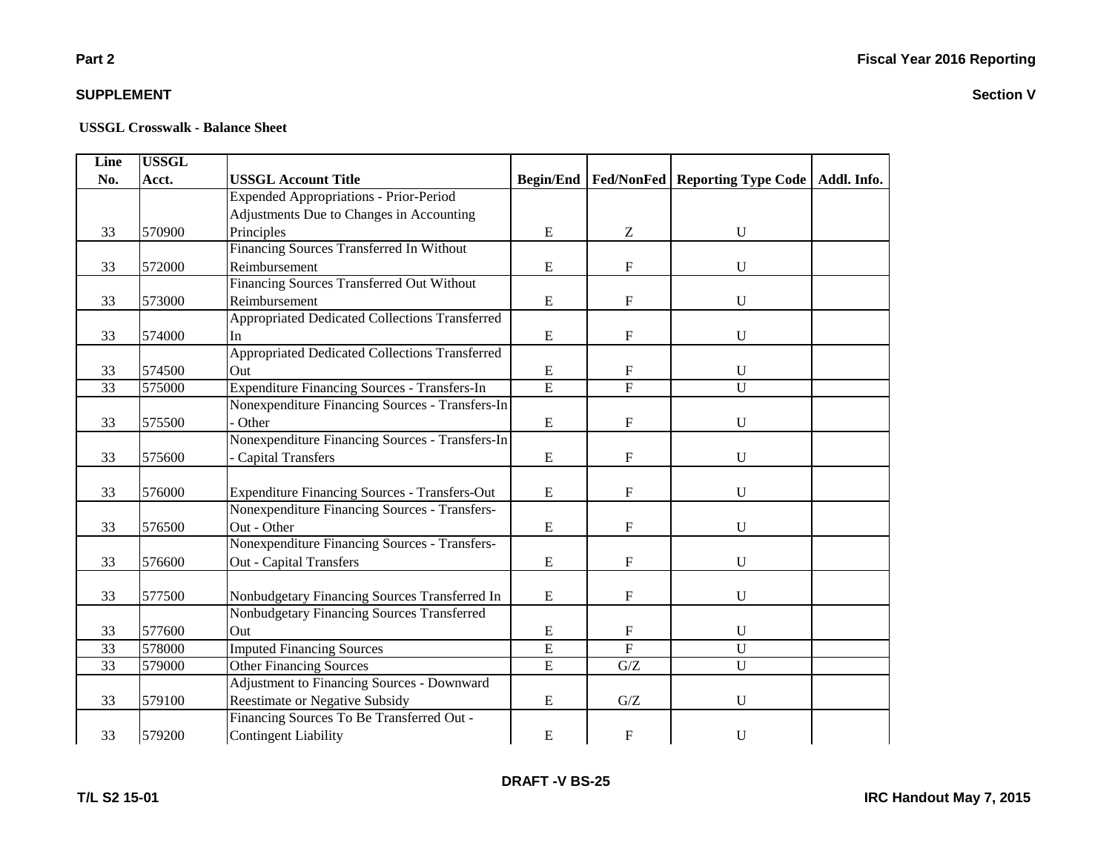### **Part 2**

### **SUPPLEMENT**

#### **USSGL Crosswalk - Balance Sheet**

| Line            | <b>USSGL</b> |                                                      |                  |                |                                                |  |
|-----------------|--------------|------------------------------------------------------|------------------|----------------|------------------------------------------------|--|
| No.             | Acct.        | <b>USSGL Account Title</b>                           | <b>Begin/End</b> |                | Fed/NonFed   Reporting Type Code   Addl. Info. |  |
|                 |              | <b>Expended Appropriations - Prior-Period</b>        |                  |                |                                                |  |
|                 |              | Adjustments Due to Changes in Accounting             |                  |                |                                                |  |
| 33              | 570900       | Principles                                           | ${\bf E}$        | Ζ              | U                                              |  |
|                 |              | Financing Sources Transferred In Without             |                  |                |                                                |  |
| 33              | 572000       | Reimbursement                                        | E                | $\mathbf F$    | $\mathbf U$                                    |  |
|                 |              | Financing Sources Transferred Out Without            |                  |                |                                                |  |
| 33              | 573000       | Reimbursement                                        | $\mathbf E$      | $\mathbf F$    | $\mathbf U$                                    |  |
|                 |              | Appropriated Dedicated Collections Transferred       |                  |                |                                                |  |
| 33              | 574000       | In                                                   | E                | ${\rm F}$      | U                                              |  |
|                 |              | Appropriated Dedicated Collections Transferred       |                  |                |                                                |  |
| 33              | 574500       | Out                                                  | E                | $\mathbf F$    | U                                              |  |
| 33              | 575000       | Expenditure Financing Sources - Transfers-In         | $\overline{E}$   | $\overline{F}$ | $\mathbf U$                                    |  |
|                 |              | Nonexpenditure Financing Sources - Transfers-In      |                  |                |                                                |  |
| 33              | 575500       | Other                                                | ${\bf E}$        | ${\rm F}$      | U                                              |  |
|                 |              | Nonexpenditure Financing Sources - Transfers-In      |                  |                |                                                |  |
| 33              | 575600       | <b>Capital Transfers</b>                             | E                | $\mathbf F$    | $\mathbf U$                                    |  |
|                 |              |                                                      |                  |                |                                                |  |
| 33              | 576000       | <b>Expenditure Financing Sources - Transfers-Out</b> | E                | F              | $\mathbf U$                                    |  |
|                 |              | Nonexpenditure Financing Sources - Transfers-        |                  |                |                                                |  |
| 33              | 576500       | Out - Other                                          | $\mathbf E$      | $\mathbf F$    | U                                              |  |
|                 |              | Nonexpenditure Financing Sources - Transfers-        |                  |                |                                                |  |
| 33              | 576600       | Out - Capital Transfers                              | E                | $\mathbf F$    | U                                              |  |
|                 |              |                                                      |                  |                |                                                |  |
| 33              | 577500       | Nonbudgetary Financing Sources Transferred In        | ${\bf E}$        | F              | $\mathbf U$                                    |  |
|                 |              | Nonbudgetary Financing Sources Transferred           |                  |                |                                                |  |
| 33              | 577600       | Out                                                  | E                | $\mathbf{F}$   | $\mathbf U$                                    |  |
| 33              | 578000       | <b>Imputed Financing Sources</b>                     | E                | $\overline{F}$ | $\overline{U}$                                 |  |
| $\overline{33}$ | 579000       | <b>Other Financing Sources</b>                       | $\overline{E}$   | G/Z            | $\overline{U}$                                 |  |
|                 |              | <b>Adjustment to Financing Sources - Downward</b>    |                  |                |                                                |  |
| 33              | 579100       | <b>Reestimate or Negative Subsidy</b>                | ${\bf E}$        | G/Z            | U                                              |  |
|                 |              | Financing Sources To Be Transferred Out -            |                  |                |                                                |  |
| 33              | 579200       | <b>Contingent Liability</b>                          | ${\bf E}$        | F              | U                                              |  |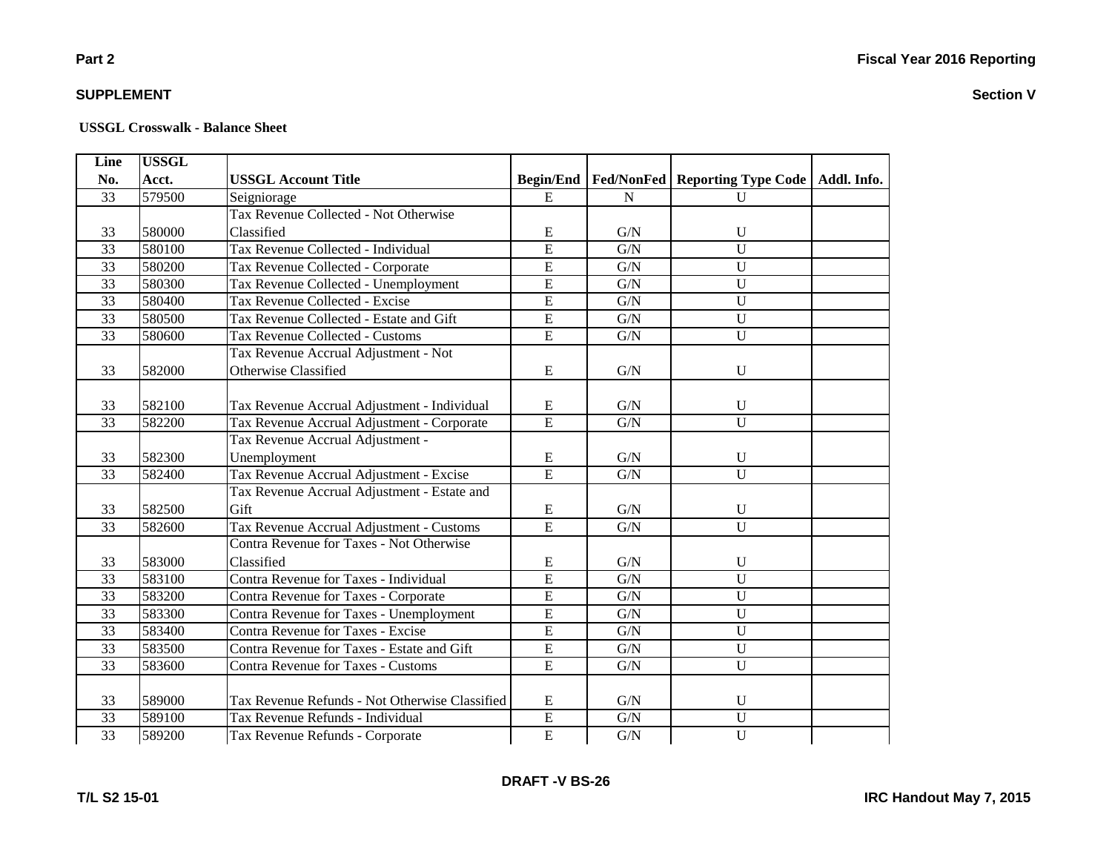### **Part 2**

### **SUPPLEMENT**

#### **USSGL Crosswalk - Balance Sheet**

| Line            | <b>USSGL</b> |                                                 |                  |             |                                  |             |
|-----------------|--------------|-------------------------------------------------|------------------|-------------|----------------------------------|-------------|
| No.             | Acct.        | <b>USSGL Account Title</b>                      | <b>Begin/End</b> |             | Fed/NonFed   Reporting Type Code | Addl. Info. |
| 33              | 579500       | Seigniorage                                     | E                | N           | $\mathbf{U}$                     |             |
|                 |              | Tax Revenue Collected - Not Otherwise           |                  |             |                                  |             |
| 33              | 580000       | Classified                                      | E                | G/N         | $\mathbf U$                      |             |
| $\overline{33}$ | 580100       | Tax Revenue Collected - Individual              | E                | G/N         | $\overline{U}$                   |             |
| $\overline{33}$ | 580200       | Tax Revenue Collected - Corporate               | $\overline{E}$   | G/N         | $\overline{U}$                   |             |
| $\overline{33}$ | 580300       | Tax Revenue Collected - Unemployment            | $\overline{E}$   | G/N         | $\overline{U}$                   |             |
| 33              | 580400       | Tax Revenue Collected - Excise                  | $\overline{E}$   | G/N         | $\overline{U}$                   |             |
| $\overline{33}$ | 580500       | Tax Revenue Collected - Estate and Gift         | $\overline{E}$   | G/N         | $\overline{U}$                   |             |
| $\overline{33}$ | 580600       | Tax Revenue Collected - Customs                 | $\overline{E}$   | ${\rm G/N}$ | $\mathbf U$                      |             |
|                 |              | Tax Revenue Accrual Adjustment - Not            |                  |             |                                  |             |
| 33              | 582000       | Otherwise Classified                            | E                | ${\rm G/N}$ | $\mathbf U$                      |             |
|                 |              |                                                 |                  |             |                                  |             |
| 33              | 582100       | Tax Revenue Accrual Adjustment - Individual     | E                | G/N         | $\mathbf U$                      |             |
| 33              | 582200       | Tax Revenue Accrual Adjustment - Corporate      | $\overline{E}$   | G/N         | $\mathbf U$                      |             |
|                 |              | Tax Revenue Accrual Adjustment -                |                  |             |                                  |             |
| 33              | 582300       | Unemployment                                    | E                | ${\rm G/N}$ | $\mathbf U$                      |             |
| $\overline{33}$ | 582400       | Tax Revenue Accrual Adjustment - Excise         | E                | G/N         | $\overline{U}$                   |             |
|                 |              | Tax Revenue Accrual Adjustment - Estate and     |                  |             |                                  |             |
| 33              | 582500       | Gift                                            | $\mathbf E$      | G/N         | $\mathbf U$                      |             |
| 33              | 582600       | Tax Revenue Accrual Adjustment - Customs        | $\overline{E}$   | ${\rm G/N}$ | $\overline{U}$                   |             |
|                 |              | <b>Contra Revenue for Taxes - Not Otherwise</b> |                  |             |                                  |             |
| 33              | 583000       | Classified                                      | ${\bf E}$        | G/N         | U                                |             |
| 33              | 583100       | Contra Revenue for Taxes - Individual           | $\overline{E}$   | G/N         | $\overline{U}$                   |             |
| 33              | 583200       | Contra Revenue for Taxes - Corporate            | $\overline{E}$   | ${\rm G/N}$ | $\overline{U}$                   |             |
| 33              | 583300       | Contra Revenue for Taxes - Unemployment         | $\overline{E}$   | G/N         | $\overline{U}$                   |             |
| 33              | 583400       | Contra Revenue for Taxes - Excise               | $\overline{E}$   | G/N         | $\overline{U}$                   |             |
| 33              | 583500       | Contra Revenue for Taxes - Estate and Gift      | E                | G/N         | $\overline{U}$                   |             |
| 33              | 583600       | <b>Contra Revenue for Taxes - Customs</b>       | $\overline{E}$   | G/N         | $\overline{U}$                   |             |
|                 |              |                                                 |                  |             |                                  |             |
| 33              | 589000       | Tax Revenue Refunds - Not Otherwise Classified  | E                | G/N         | $\mathbf U$                      |             |
| 33              | 589100       | Tax Revenue Refunds - Individual                | $\overline{E}$   | G/N         | $\mathbf U$                      |             |
| $\overline{33}$ | 589200       | Tax Revenue Refunds - Corporate                 | $\overline{E}$   | ${\rm G/N}$ | $\overline{U}$                   |             |

**DRAFT -V BS-26**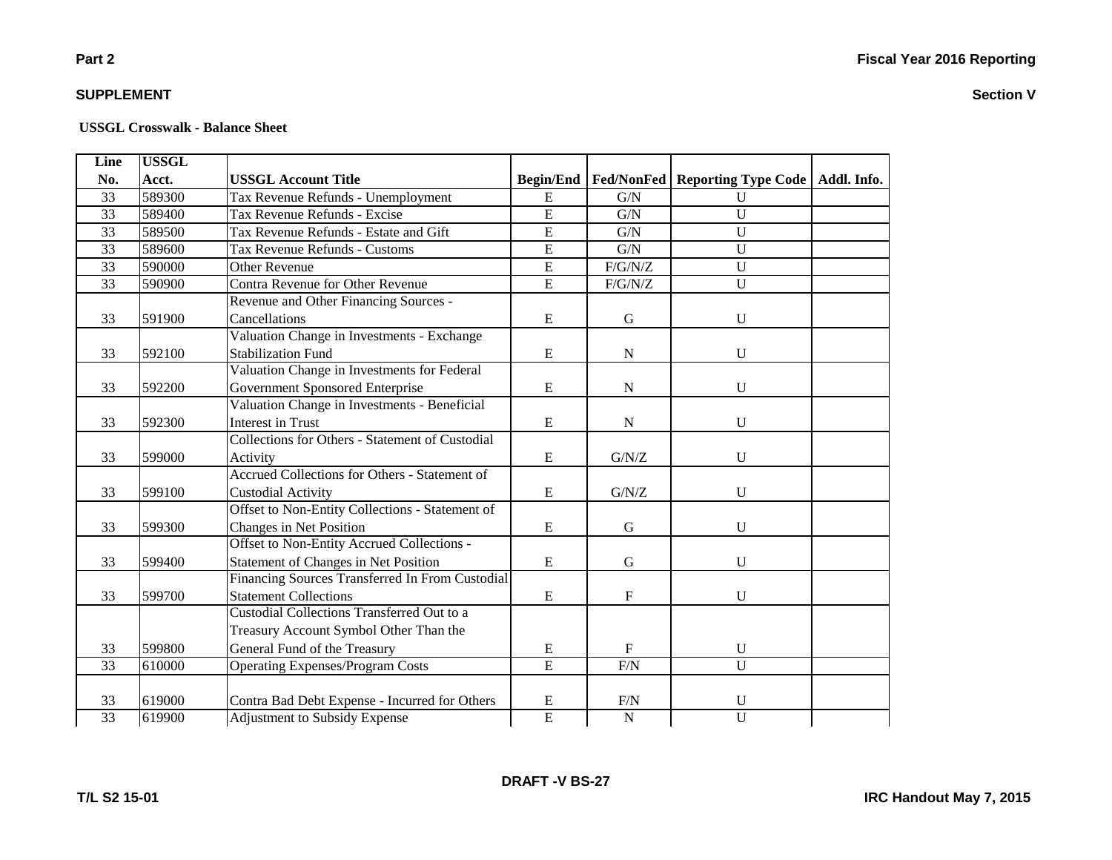### **Part 2**

### **SUPPLEMENT**

#### **USSGL Crosswalk - Balance Sheet**

| Line            | <b>USSGL</b> |                                                 |                  |                |                                                |  |
|-----------------|--------------|-------------------------------------------------|------------------|----------------|------------------------------------------------|--|
| No.             | Acct.        | <b>USSGL Account Title</b>                      | <b>Begin/End</b> |                | Fed/NonFed   Reporting Type Code   Addl. Info. |  |
| 33              | 589300       | Tax Revenue Refunds - Unemployment              | E                | G/N            | $\mathbf U$                                    |  |
| 33              | 589400       | Tax Revenue Refunds - Excise                    | $\overline{E}$   | G/N            | $\overline{U}$                                 |  |
| 33              | 589500       | Tax Revenue Refunds - Estate and Gift           | $\overline{E}$   | G/N            | $\overline{U}$                                 |  |
| 33              | 589600       | Tax Revenue Refunds - Customs                   | $\overline{E}$   | G/N            | $\overline{U}$                                 |  |
| $\overline{33}$ | 590000       | <b>Other Revenue</b>                            | $\overline{E}$   | $F/G/N/Z$      | $\overline{U}$                                 |  |
| 33              | 590900       | Contra Revenue for Other Revenue                | $\overline{E}$   | F/G/N/Z        | U                                              |  |
|                 |              | Revenue and Other Financing Sources -           |                  |                |                                                |  |
| 33              | 591900       | Cancellations                                   | ${\bf E}$        | ${\bf G}$      | U                                              |  |
|                 |              | Valuation Change in Investments - Exchange      |                  |                |                                                |  |
| 33              | 592100       | <b>Stabilization Fund</b>                       | ${\bf E}$        | ${\bf N}$      | $\mathbf U$                                    |  |
|                 |              | Valuation Change in Investments for Federal     |                  |                |                                                |  |
| 33              | 592200       | Government Sponsored Enterprise                 | ${\bf E}$        | ${\bf N}$      | U                                              |  |
|                 |              | Valuation Change in Investments - Beneficial    |                  |                |                                                |  |
| 33              | 592300       | <b>Interest in Trust</b>                        | ${\bf E}$        | ${\bf N}$      | U                                              |  |
|                 |              | Collections for Others - Statement of Custodial |                  |                |                                                |  |
| 33              | 599000       | Activity                                        | E                | ${\rm G/N/Z}$  | U                                              |  |
|                 |              | Accrued Collections for Others - Statement of   |                  |                |                                                |  |
| 33              | 599100       | <b>Custodial Activity</b>                       | ${\bf E}$        | ${\rm G/N/Z}$  | U                                              |  |
|                 |              | Offset to Non-Entity Collections - Statement of |                  |                |                                                |  |
| 33              | 599300       | Changes in Net Position                         | ${\bf E}$        | ${\bf G}$      | U                                              |  |
|                 |              | Offset to Non-Entity Accrued Collections -      |                  |                |                                                |  |
| 33              | 599400       | Statement of Changes in Net Position            | ${\bf E}$        | G              | U                                              |  |
|                 |              | Financing Sources Transferred In From Custodial |                  |                |                                                |  |
| 33              | 599700       | <b>Statement Collections</b>                    | ${\bf E}$        | $\rm F$        | U                                              |  |
|                 |              | Custodial Collections Transferred Out to a      |                  |                |                                                |  |
|                 |              | Treasury Account Symbol Other Than the          |                  |                |                                                |  |
| 33              | 599800       | General Fund of the Treasury                    | ${\bf E}$        | $\mathbf F$    | $\mathbf U$                                    |  |
| 33              | 610000       | <b>Operating Expenses/Program Costs</b>         | $\overline{E}$   | F/N            | $\overline{U}$                                 |  |
|                 |              |                                                 |                  |                |                                                |  |
| 33              | 619000       | Contra Bad Debt Expense - Incurred for Others   | ${\bf E}$        | F/N            | U                                              |  |
| $\overline{33}$ | 619900       | Adjustment to Subsidy Expense                   | $\overline{E}$   | $\overline{N}$ | $\overline{U}$                                 |  |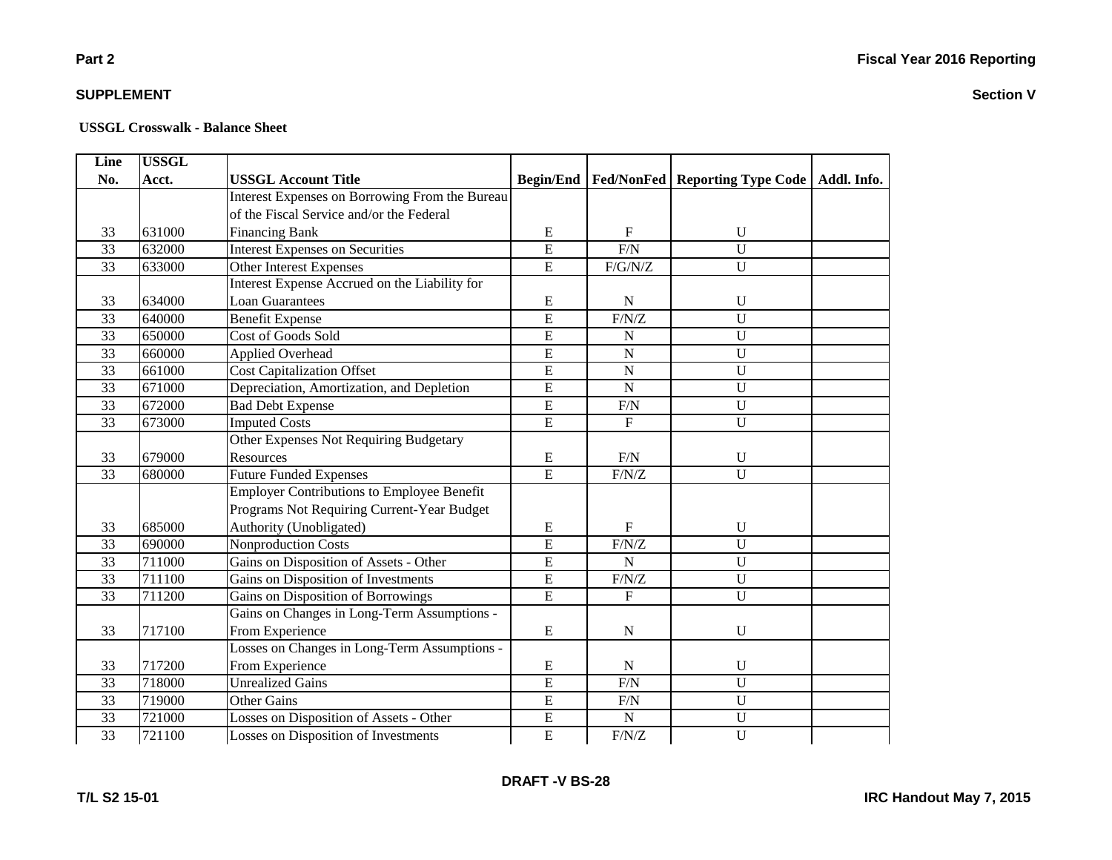### **Part 2**

### **SUPPLEMENT**

| Line            | <b>USSGL</b> |                                                   |                |             |                                                            |  |
|-----------------|--------------|---------------------------------------------------|----------------|-------------|------------------------------------------------------------|--|
| No.             | Acct.        | <b>USSGL Account Title</b>                        |                |             | Begin/End   Fed/NonFed   Reporting Type Code   Addl. Info. |  |
|                 |              | Interest Expenses on Borrowing From the Bureau    |                |             |                                                            |  |
|                 |              | of the Fiscal Service and/or the Federal          |                |             |                                                            |  |
| 33              | 631000       | <b>Financing Bank</b>                             | E              | F           | $\mathbf U$                                                |  |
| $\overline{33}$ | 632000       | <b>Interest Expenses on Securities</b>            | $\overline{E}$ | F/N         | $\overline{U}$                                             |  |
| $\overline{33}$ | 633000       | <b>Other Interest Expenses</b>                    | $\overline{E}$ | F/G/N/Z     | $\overline{U}$                                             |  |
|                 |              | Interest Expense Accrued on the Liability for     |                |             |                                                            |  |
| 33              | 634000       | <b>Loan Guarantees</b>                            | ${\bf E}$      | ${\bf N}$   | U                                                          |  |
| $\overline{33}$ | 640000       | <b>Benefit Expense</b>                            | $\overline{E}$ | F/N/Z       | $\overline{U}$                                             |  |
| 33              | 650000       | Cost of Goods Sold                                | $\overline{E}$ | $\mathbf N$ | $\mathbf U$                                                |  |
| 33              | 660000       | Applied Overhead                                  | $\overline{E}$ | ${\bf N}$   | U                                                          |  |
| 33              | 661000       | <b>Cost Capitalization Offset</b>                 | E              | ${\bf N}$   | U                                                          |  |
| 33              | 671000       | Depreciation, Amortization, and Depletion         | $\overline{E}$ | $\mathbf N$ | $\overline{U}$                                             |  |
| 33              | 672000       | <b>Bad Debt Expense</b>                           | E              | F/N         | $\mathbf U$                                                |  |
| 33              | 673000       | <b>Imputed Costs</b>                              | $\overline{E}$ | $\mathbf F$ | $\overline{U}$                                             |  |
|                 |              | Other Expenses Not Requiring Budgetary            |                |             |                                                            |  |
| 33              | 679000       | Resources                                         | E              | F/N         | U                                                          |  |
| $\overline{33}$ | 680000       | <b>Future Funded Expenses</b>                     | $\overline{E}$ | $\rm F/N/Z$ | $\overline{U}$                                             |  |
|                 |              | <b>Employer Contributions to Employee Benefit</b> |                |             |                                                            |  |
|                 |              | Programs Not Requiring Current-Year Budget        |                |             |                                                            |  |
| 33              | 685000       | Authority (Unobligated)                           | E              | F           | U                                                          |  |
| 33              | 690000       | Nonproduction Costs                               | $\overline{E}$ | F/N/Z       | $\overline{U}$                                             |  |
| 33              | 711000       | Gains on Disposition of Assets - Other            | E              | $\mathbf N$ | $\mathbf{U}$                                               |  |
| 33              | 711100       | Gains on Disposition of Investments               | $\overline{E}$ | F/N/Z       | $\overline{U}$                                             |  |
| 33              | 711200       | Gains on Disposition of Borrowings                | $\overline{E}$ | $\mathbf F$ | $\mathbf U$                                                |  |
|                 |              | Gains on Changes in Long-Term Assumptions -       |                |             |                                                            |  |
| 33              | 717100       | From Experience                                   | ${\bf E}$      | ${\bf N}$   | $\mathbf U$                                                |  |
|                 |              | Losses on Changes in Long-Term Assumptions -      |                |             |                                                            |  |
| 33              | 717200       | From Experience                                   | ${\bf E}$      | $\mathbf N$ | $\mathbf U$                                                |  |
| 33              | 718000       | <b>Unrealized Gains</b>                           | $\overline{E}$ | F/N         | $\overline{U}$                                             |  |
| 33              | 719000       | <b>Other Gains</b>                                | $\overline{E}$ | F/N         | $\overline{U}$                                             |  |
| 33              | 721000       | Losses on Disposition of Assets - Other           | ${\bf E}$      | ${\bf N}$   | U                                                          |  |
| $\overline{33}$ | 721100       | Losses on Disposition of Investments              | $\overline{E}$ | F/N/Z       | $\overline{U}$                                             |  |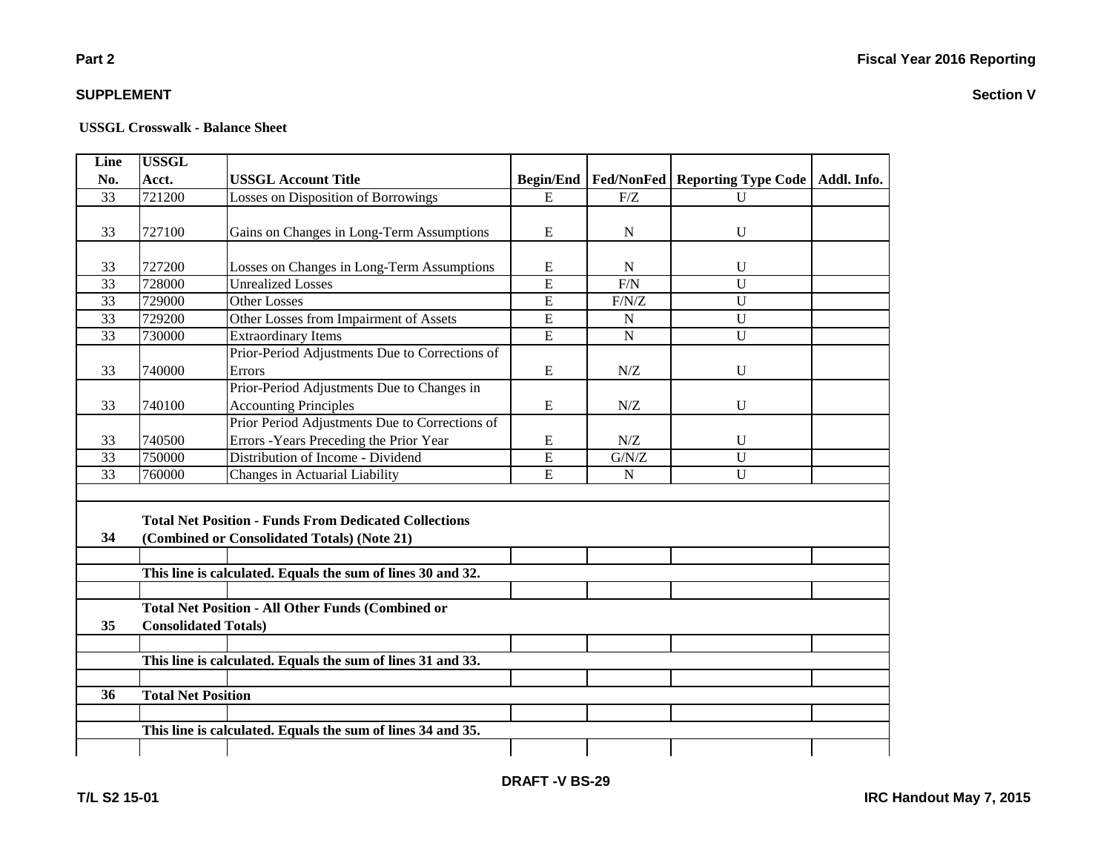#### **USSGL Crosswalk - Balance Sheet**

| Line            | <b>USSGL</b>                |                                                              |                  |                   |                            |             |
|-----------------|-----------------------------|--------------------------------------------------------------|------------------|-------------------|----------------------------|-------------|
| No.             | Acct.                       | <b>USSGL Account Title</b>                                   | <b>Begin/End</b> | <b>Fed/NonFed</b> | <b>Reporting Type Code</b> | Addl. Info. |
| 33              | 721200                      | Losses on Disposition of Borrowings                          | E                | F/Z               | U                          |             |
|                 |                             |                                                              |                  |                   |                            |             |
| 33              | 727100                      | Gains on Changes in Long-Term Assumptions                    | E                | N                 | U                          |             |
|                 |                             |                                                              |                  |                   |                            |             |
| 33              | 727200                      | Losses on Changes in Long-Term Assumptions                   | E                | N                 | $\mathbf{U}$               |             |
| 33              | 728000                      | <b>Unrealized Losses</b>                                     | $\overline{E}$   | F/N               | $\overline{U}$             |             |
| $\overline{33}$ | 729000                      | <b>Other Losses</b>                                          | $\overline{E}$   | F/N/Z             | $\overline{U}$             |             |
| $\overline{33}$ | 729200                      | Other Losses from Impairment of Assets                       | E                | N                 | $\overline{U}$             |             |
| 33              | 730000                      | <b>Extraordinary Items</b>                                   | $\overline{E}$   | $\mathbf N$       | $\overline{U}$             |             |
|                 |                             | Prior-Period Adjustments Due to Corrections of               |                  |                   |                            |             |
| 33              | 740000                      | Errors                                                       | E                | N/Z               | $\mathbf U$                |             |
|                 |                             | Prior-Period Adjustments Due to Changes in                   |                  |                   |                            |             |
| 33              | 740100                      | <b>Accounting Principles</b>                                 | E                | N/Z               | U                          |             |
|                 |                             | Prior Period Adjustments Due to Corrections of               |                  |                   |                            |             |
| 33              | 740500                      | Errors - Years Preceding the Prior Year                      | E                | N/Z               | U                          |             |
| 33              | 750000                      | Distribution of Income - Dividend                            | E                | G/N/Z             | $\overline{U}$             |             |
| 33              | 760000                      | Changes in Actuarial Liability                               | E                | ${\bf N}$         | $\mathbf{U}$               |             |
|                 |                             |                                                              |                  |                   |                            |             |
|                 |                             | <b>Total Net Position - Funds From Dedicated Collections</b> |                  |                   |                            |             |
|                 |                             |                                                              |                  |                   |                            |             |
| 34              |                             | (Combined or Consolidated Totals) (Note 21)                  |                  |                   |                            |             |
|                 |                             |                                                              |                  |                   |                            |             |
|                 |                             | This line is calculated. Equals the sum of lines 30 and 32.  |                  |                   |                            |             |
|                 |                             |                                                              |                  |                   |                            |             |
|                 |                             | <b>Total Net Position - All Other Funds (Combined or</b>     |                  |                   |                            |             |
| 35              | <b>Consolidated Totals)</b> |                                                              |                  |                   |                            |             |
|                 |                             |                                                              |                  |                   |                            |             |
|                 |                             | This line is calculated. Equals the sum of lines 31 and 33.  |                  |                   |                            |             |
|                 |                             |                                                              |                  |                   |                            |             |
| 36              | <b>Total Net Position</b>   |                                                              |                  |                   |                            |             |
|                 |                             |                                                              |                  |                   |                            |             |
|                 |                             | This line is calculated. Equals the sum of lines 34 and 35.  |                  |                   |                            |             |
|                 |                             |                                                              |                  |                   |                            |             |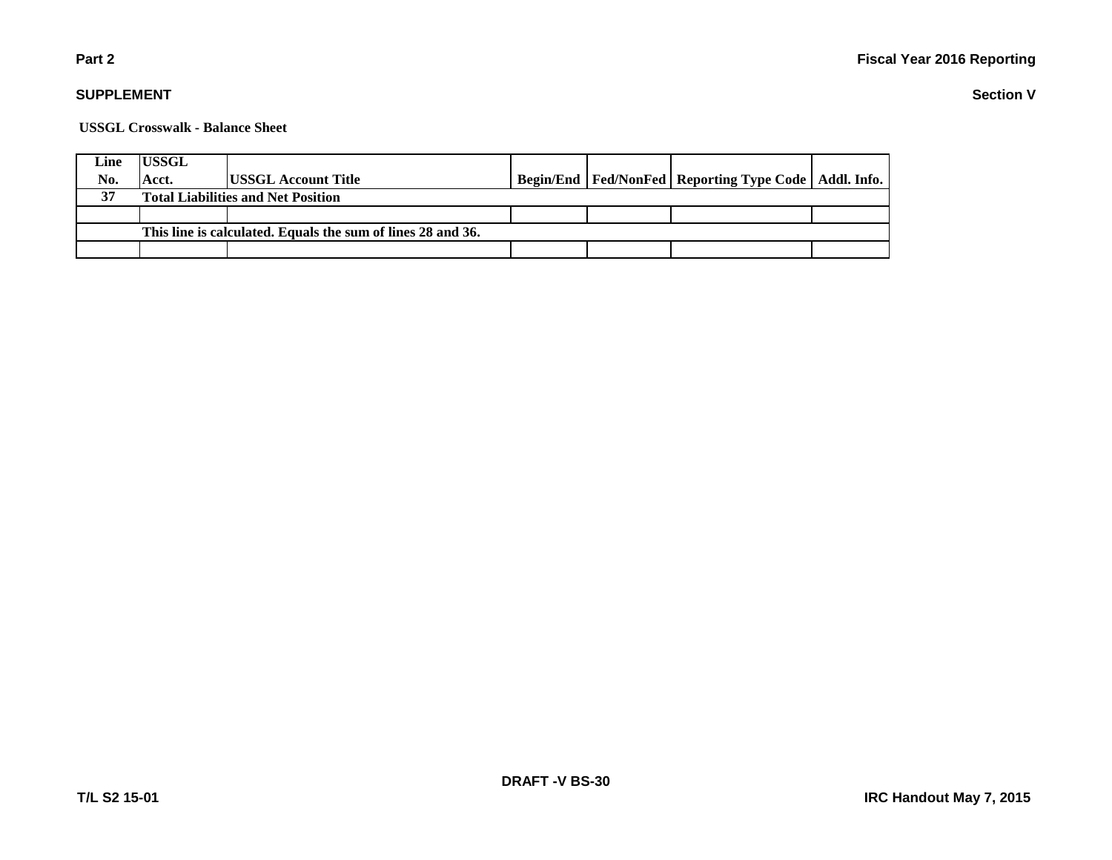### **Part 2**

### **SUPPLEMENT**

**USSGL Crosswalk - Balance Sheet**

| Line                                                        | <b>USSGL</b>                              |                             |  |  |                                                            |  |  |
|-------------------------------------------------------------|-------------------------------------------|-----------------------------|--|--|------------------------------------------------------------|--|--|
| No.                                                         | Acct.                                     | <b>IUSSGL Account Title</b> |  |  | Begin/End   Fed/NonFed   Reporting Type Code   Addl. Info. |  |  |
| 37                                                          | <b>Total Liabilities and Net Position</b> |                             |  |  |                                                            |  |  |
|                                                             |                                           |                             |  |  |                                                            |  |  |
| This line is calculated. Equals the sum of lines 28 and 36. |                                           |                             |  |  |                                                            |  |  |
|                                                             |                                           |                             |  |  |                                                            |  |  |